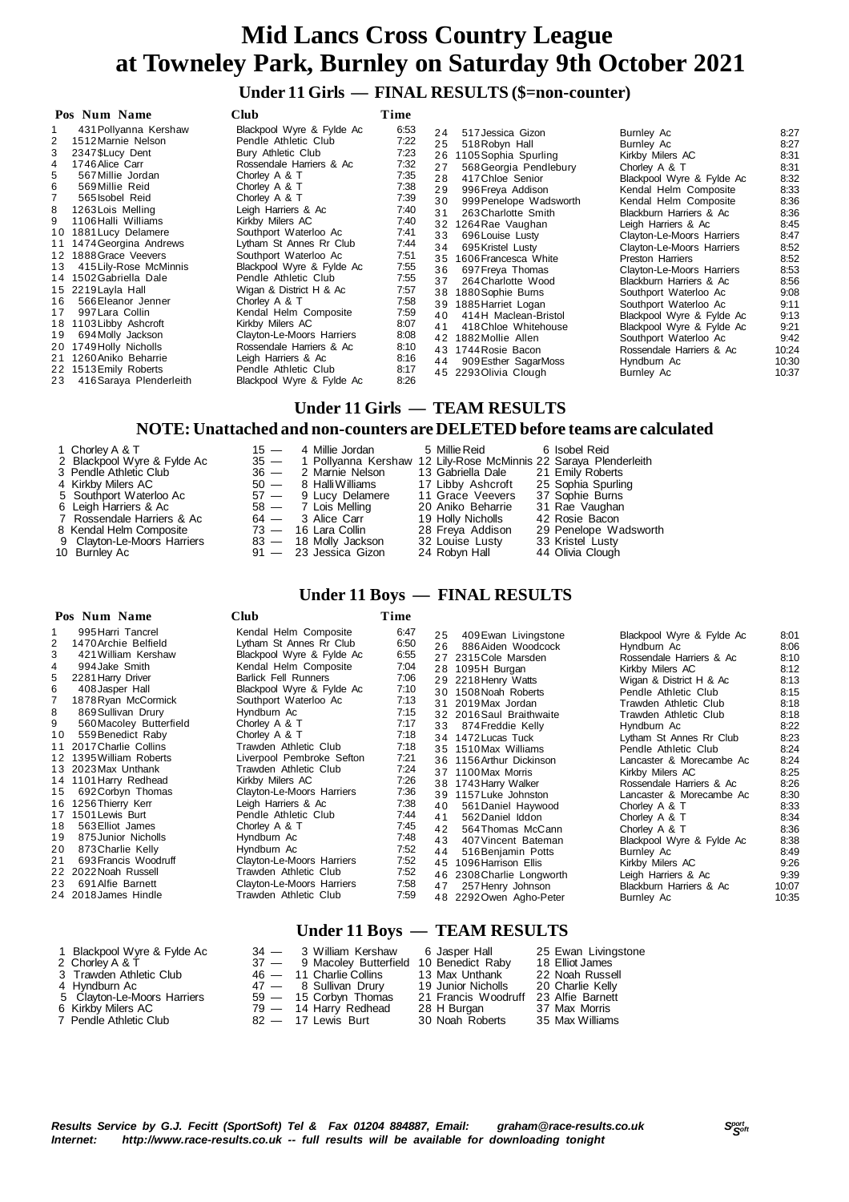### **Under 11 Girls — FINAL RESULTS (\$=non-counter)**

| Pos Num Name                                                                                                                                                                                                                                                                                                                                                                                                                                                                                                                                                                                                                 | Club                                                                                                                                                                                                                                                                                                                                                                                                                                                                                                                                                              | Time                                                                                                                                                                                 |                                                                                                                                                                                                                                                                                                                                                                                                                                                                                                                                                                                                                                |                                                                                                                                                                                                                                                                                                                                                                                                                                                                                                                                           |                                                                                                                                                                                 |
|------------------------------------------------------------------------------------------------------------------------------------------------------------------------------------------------------------------------------------------------------------------------------------------------------------------------------------------------------------------------------------------------------------------------------------------------------------------------------------------------------------------------------------------------------------------------------------------------------------------------------|-------------------------------------------------------------------------------------------------------------------------------------------------------------------------------------------------------------------------------------------------------------------------------------------------------------------------------------------------------------------------------------------------------------------------------------------------------------------------------------------------------------------------------------------------------------------|--------------------------------------------------------------------------------------------------------------------------------------------------------------------------------------|--------------------------------------------------------------------------------------------------------------------------------------------------------------------------------------------------------------------------------------------------------------------------------------------------------------------------------------------------------------------------------------------------------------------------------------------------------------------------------------------------------------------------------------------------------------------------------------------------------------------------------|-------------------------------------------------------------------------------------------------------------------------------------------------------------------------------------------------------------------------------------------------------------------------------------------------------------------------------------------------------------------------------------------------------------------------------------------------------------------------------------------------------------------------------------------|---------------------------------------------------------------------------------------------------------------------------------------------------------------------------------|
| 431 Pollyanna Kershaw<br>1512 Marnie Nelson<br>2347 \$Lucy Dent<br>1746 Alice Carr<br>4<br>567 Millie Jordan<br>5.<br>569 Millie Reid<br>6<br>565 Isobel Reid<br>1263 Lois Melling<br>8<br>1106 Halli Williams<br>1881 Lucy Delamere<br>10<br>1474 Georgina Andrews<br>11<br>1888 Grace Veevers<br>12<br>415 Lily-Rose McMinnis<br>13<br>1502 Gabriella Dale<br>14<br>15 2219 Layla Hall<br>566 Eleanor Jenner<br>16<br>997 Lara Collin<br>17<br>1103 Libby Ashcroft<br>18<br>694 Molly Jackson<br>19<br>1749 Holly Nicholls<br>20<br>1260 Aniko Beharrie<br>21<br>1513 Emily Roberts<br>22<br>416 Saraya Plenderleith<br>23 | Blackpool Wyre & Fylde Ac<br>Pendle Athletic Club<br>Bury Athletic Club<br>Rossendale Harriers & Ac<br>Chorley A & T<br>Chorley A & T<br>Chorley A & T<br>Leigh Harriers & Ac<br>Kirkby Milers AC<br>Southport Waterloo Ac<br>Lytham St Annes Rr Club<br>Southport Waterloo Ac<br>Blackpool Wyre & Fylde Ac<br>Pendle Athletic Club<br>Wigan & District H & Ac<br>Chorley A & T<br>Kendal Helm Composite<br>Kirkby Milers AC<br>Clayton-Le-Moors Harriers<br>Rossendale Harriers & Ac<br>Leigh Harriers & Ac<br>Pendle Athletic Club<br>Blackpool Wyre & Fylde Ac | 6:53<br>7:22<br>7:23<br>7:32<br>7:35<br>7:38<br>7:39<br>7:40<br>7:40<br>7:41<br>7:44<br>7:51<br>7:55<br>7:55<br>7:57<br>7:58<br>7:59<br>8:07<br>8:08<br>8:10<br>8:16<br>8:17<br>8:26 | 24<br>517 Jessica Gizon<br>25<br>518 Robyn Hall<br>26<br>1105 Sophia Spurling<br>27<br>568 Georgia Pendlebury<br>28<br>417 Chloe Senior<br>29<br>996 Freya Addison<br>30<br>999 Penelope Wadsworth<br>31<br>263 Charlotte Smith<br>32<br>1264 Rae Vaughan<br>33<br>696 Louise Lusty<br>34<br>695 Kristel Lusty<br>35<br>1606 Francesca White<br>36<br>697 Freya Thomas<br>37<br>264 Charlotte Wood<br>1880 Sophie Burns<br>38<br>39<br>1885 Harriet Logan<br>414H Maclean-Bristol<br>40<br>41<br>418 Chloe Whitehouse<br>1882 Mollie Allen<br>42<br>43 1744 Rosie Bacon<br>44<br>909 Esther SagarMoss<br>45 2293 Olivia Clough | Burnley Ac<br>Burnley Ac<br>Kirkby Milers AC<br>Chorley A & T<br>Blackpool Wyre & Fylde Ac<br>Kendal Helm Composite<br>Kendal Helm Composite<br>Blackburn Harriers & Ac<br>Leigh Harriers & Ac<br>Clayton-Le-Moors Harriers<br>Clayton-Le-Moors Harriers<br><b>Preston Harriers</b><br>Clayton-Le-Moors Harriers<br>Blackburn Harriers & Ac<br>Southport Waterloo Ac<br>Southport Waterloo Ac<br>Blackpool Wyre & Fylde Ac<br>Blackpool Wyre & Fylde Ac<br>Southport Waterloo Ac<br>Rossendale Harriers & Ac<br>Hyndburn Ac<br>Burnley Ac | 8:27<br>8:27<br>8:31<br>8:31<br>8:32<br>8:33<br>8:36<br>8:36<br>8:45<br>8:47<br>8:52<br>8:52<br>8:53<br>8:56<br>9:08<br>9:11<br>9:13<br>9:21<br>9:42<br>10:24<br>10:30<br>10:37 |
|                                                                                                                                                                                                                                                                                                                                                                                                                                                                                                                                                                                                                              |                                                                                                                                                                                                                                                                                                                                                                                                                                                                                                                                                                   |                                                                                                                                                                                      |                                                                                                                                                                                                                                                                                                                                                                                                                                                                                                                                                                                                                                |                                                                                                                                                                                                                                                                                                                                                                                                                                                                                                                                           |                                                                                                                                                                                 |

### **Under 11 Girls — TEAM RESULTS**

### **NOTE: Unattached and non-counters are DELETED before teams are calculated**

| 1 Chorley A & T            |
|----------------------------|
| 2 Blackpool Wyre & Fylde . |
| 3 Pendle Athletic Club     |
| 4 Kirkby Milers AC         |
| 5. Southnort Waterloo Ac   |

- 
- 
- 
- 
- 

 5 Southport Waterloo Ac 57 — 9 Lucy Delamere 11 Grace Veevers 37 Sophie Burns 6 Leigh Harriers & Ac 58 — 7 Lois Melling 20 Aniko Beharrie 31 Rae Vaughan 7 Rossendale Harriers & Ac 64 - 3 Alice Carr 19 Holly Nicholls 42 Rosie Bacon<br>8 Kendal Helm Composite 73 - 16 Lara Collin 28 Freya Addison 29 Penelope Wadsworth<br>9 Clayton-Le-Moors Harriers 83 - 18 Molly Jackson 32 Louise L 8 Kendal Helm Composite 73 — 16 Lara Collin 28 Freya Addison 29 Penelope Wadsworth 9 Clayton-Le-Moors Harriers 83 — 18 Molly Jackson 32 Louise Lusty 33 Kristel Lusty 10 Burnley Ac 91 — 23 Jessica Gizon 24 Robyn Hall 44 Olivia Clough

1 15 — 4 Millie Jordan 5 Millie Reid 6 Isobel Reid<br>2 Ac 35 — 1 Pollyanna Kershaw 12 Lily-Rose McMinnis 22 Saraya Ple 35 — 1 Pollyanna Kershaw 12 Lily-Rose McMinnis 22 Saraya Plenderleith<br>36 — 2 Marnie Nelson 13 Gabriella Dale 21 Emily Roberts 36 — 2 Marnie Nelson 13 Gabriella Dale 50 — 8 Halli Williams 17 Libby Ashcroft<br>57 — 9 Lucy Delamere 11 Grace Veevers 4 Ailli Williams 17 Libby Ashcroft 25 Sophia Spurling<br>
18 Halli Williams 11 Grace Veevers 37 Sophie Burns<br>
18 Halli 20 Aniko Beharrie 31 Rae Vaughan

- 
- 

### **Under 11 Boys — FINAL RESULTS**

| Pos Num Name                                                                                                                                                                                                                                                                                                                                                                                                                                                                                                                                                                                                                           | Club                                                                                                                                                                                                                                                                                                                                                                                                                                                                                                                                                                                   | Time                                                                                                                                                                                         |                                                                                                                                                                                                                                                                                                                                                                                                                                                                                                                                                                                                                                       |                                                                                                                                                                                                                                                                                                                                                                                                                                                                                                                                                           |                                                                                                                                                                                                |
|----------------------------------------------------------------------------------------------------------------------------------------------------------------------------------------------------------------------------------------------------------------------------------------------------------------------------------------------------------------------------------------------------------------------------------------------------------------------------------------------------------------------------------------------------------------------------------------------------------------------------------------|----------------------------------------------------------------------------------------------------------------------------------------------------------------------------------------------------------------------------------------------------------------------------------------------------------------------------------------------------------------------------------------------------------------------------------------------------------------------------------------------------------------------------------------------------------------------------------------|----------------------------------------------------------------------------------------------------------------------------------------------------------------------------------------------|---------------------------------------------------------------------------------------------------------------------------------------------------------------------------------------------------------------------------------------------------------------------------------------------------------------------------------------------------------------------------------------------------------------------------------------------------------------------------------------------------------------------------------------------------------------------------------------------------------------------------------------|-----------------------------------------------------------------------------------------------------------------------------------------------------------------------------------------------------------------------------------------------------------------------------------------------------------------------------------------------------------------------------------------------------------------------------------------------------------------------------------------------------------------------------------------------------------|------------------------------------------------------------------------------------------------------------------------------------------------------------------------------------------------|
| 995 Harri Tancrel<br>1470 Archie Belfield<br>3<br>421 William Kershaw<br>994 Jake Smith<br>4<br>2281 Harry Driver<br>5<br>6<br>408 Jasper Hall<br>1878 Ryan McCormick<br>8<br>869 Sullivan Drury<br>9<br>560 Macoley Butterfield<br>10<br>559 Benedict Raby<br>11 2017 Charlie Collins<br>12 1395 William Roberts<br>13 2023 Max Unthank<br>14 1101 Harry Redhead<br>692 Corbyn Thomas<br>15<br>16 1256 Thierry Kerr<br>17 1501 Lewis Burt<br>563 Elliot James<br>18<br>19<br>875 Junior Nicholls<br>873 Charlie Kelly<br>20<br>21<br>693 Francis Woodruff<br>22 2022 Noah Russell<br>691 Alfie Barnett<br>23.<br>24 2018 James Hindle | Kendal Helm Composite<br>Lytham St Annes Rr Club<br>Blackpool Wyre & Fylde Ac<br>Kendal Helm Composite<br><b>Barlick Fell Runners</b><br>Blackpool Wyre & Fylde Ac<br>Southport Waterloo Ac<br>Hyndburn Ac<br>Chorley A & T<br>Chorley A & T<br>Trawden Athletic Club<br>Liverpool Pembroke Sefton<br>Trawden Athletic Club<br>Kirkby Milers AC<br>Clayton-Le-Moors Harriers<br>Leigh Harriers & Ac<br>Pendle Athletic Club<br>Chorley A & T<br>Hyndburn Ac<br>Hyndburn Ac<br>Clayton-Le-Moors Harriers<br>Trawden Athletic Club<br>Clayton-Le-Moors Harriers<br>Trawden Athletic Club | 6:47<br>6:50<br>6:55<br>7:04<br>7:06<br>7:10<br>7:13<br>7:15<br>7:17<br>7:18<br>7:18<br>7:21<br>7:24<br>7:26<br>7:36<br>7:38<br>7:44<br>7:45<br>7:48<br>7:52<br>7:52<br>7:52<br>7:58<br>7:59 | 25<br>409 Ewan Livingstone<br>26<br>886 Aiden Woodcock<br>27 2315 Cole Marsden<br>28 1095H Burgan<br>29 2218 Henry Watts<br>30 1508 Noah Roberts<br>31 2019 Max Jordan<br>32 2016 Saul Braithwaite<br>33<br>874 Freddie Kelly<br>34 1472 Lucas Tuck<br>35 1510 Max Williams<br>36 1156 Arthur Dickinson<br>37 1100 Max Morris<br>38 1743 Harry Walker<br>39 1157 Luke Johnston<br>40<br>561 Daniel Haywood<br>41<br>562 Daniel Iddon<br>42<br>564 Thomas McCann<br>43<br>407 Vincent Bateman<br>44<br>516 Benjamin Potts<br>45 1096 Harrison Ellis<br>46 2308 Charlie Longworth<br>257 Henry Johnson<br>47<br>48 2292 Owen Agho-Peter | Blackpool Wyre & Fylde Ac<br>Hyndburn Ac<br>Rossendale Harriers & Ac<br>Kirkby Milers AC<br>Wigan & District H & Ac<br>Pendle Athletic Club<br>Trawden Athletic Club<br>Trawden Athletic Club<br>Hyndburn Ac<br>Lytham St Annes Rr Club<br>Pendle Athletic Club<br>Lancaster & Morecambe Ac<br>Kirkby Milers AC<br>Rossendale Harriers & Ac<br>Lancaster & Morecambe Ac<br>Chorley A & T<br>Chorley A & T<br>Chorley A & T<br>Blackpool Wyre & Fylde Ac<br>Burnley Ac<br>Kirkby Milers AC<br>Leigh Harriers & Ac<br>Blackburn Harriers & Ac<br>Burnley Ac | 8:01<br>8:06<br>8:10<br>8:12<br>8:13<br>8:15<br>8:18<br>8:18<br>8:22<br>8:23<br>8:24<br>8:24<br>8:25<br>8:26<br>8:30<br>8:33<br>8:34<br>8:36<br>8:38<br>8:49<br>9:26<br>9:39<br>10:07<br>10:35 |
|                                                                                                                                                                                                                                                                                                                                                                                                                                                                                                                                                                                                                                        |                                                                                                                                                                                                                                                                                                                                                                                                                                                                                                                                                                                        |                                                                                                                                                                                              |                                                                                                                                                                                                                                                                                                                                                                                                                                                                                                                                                                                                                                       |                                                                                                                                                                                                                                                                                                                                                                                                                                                                                                                                                           |                                                                                                                                                                                                |

- 
- 
- 
- 
- 7 Pendle Athletic Club

- 1 Blackpool Wyre & Fylde Ac 34 3 William Kershaw 6 Jasper Hall 25 Ewan Livingstone 2 Chorley A & T 37 9 Macoley Butterfield 10 Benedict Raby 18 Elliot James 3 Trawden Athletic Club 46 — 11 Charlie Collins 13 Max Unthank 22 Noah Russell 4 Hyndburn Ac 47 — 8 Sullivan Drury 19 Junior Nicholls 20 Charlie Kelly 1 Contract Corresponding to the contract of the contract of the Micholls of Clayton-Le-Moors Harriers 59 — 15 Corbyn Thomas 21 Francis Woodruff 23 Alfie Barnett<br>16 Clayton-Le-Moors Harriers 59 — 15 Corbyn Thomas 21 Francis 6 Kirkby Milers AC 1 and the Tag and Tag and Tag and Tag and Tag and Tag and Tag and Tag and Tag and Tag and Tag and Tag and Tag and Tag and Tag and Tag and Tag and Tag and Tag and Tag and Tag and Tag and Tag and Tag and T
- -

### **Under 11 Boys — TEAM RESULTS**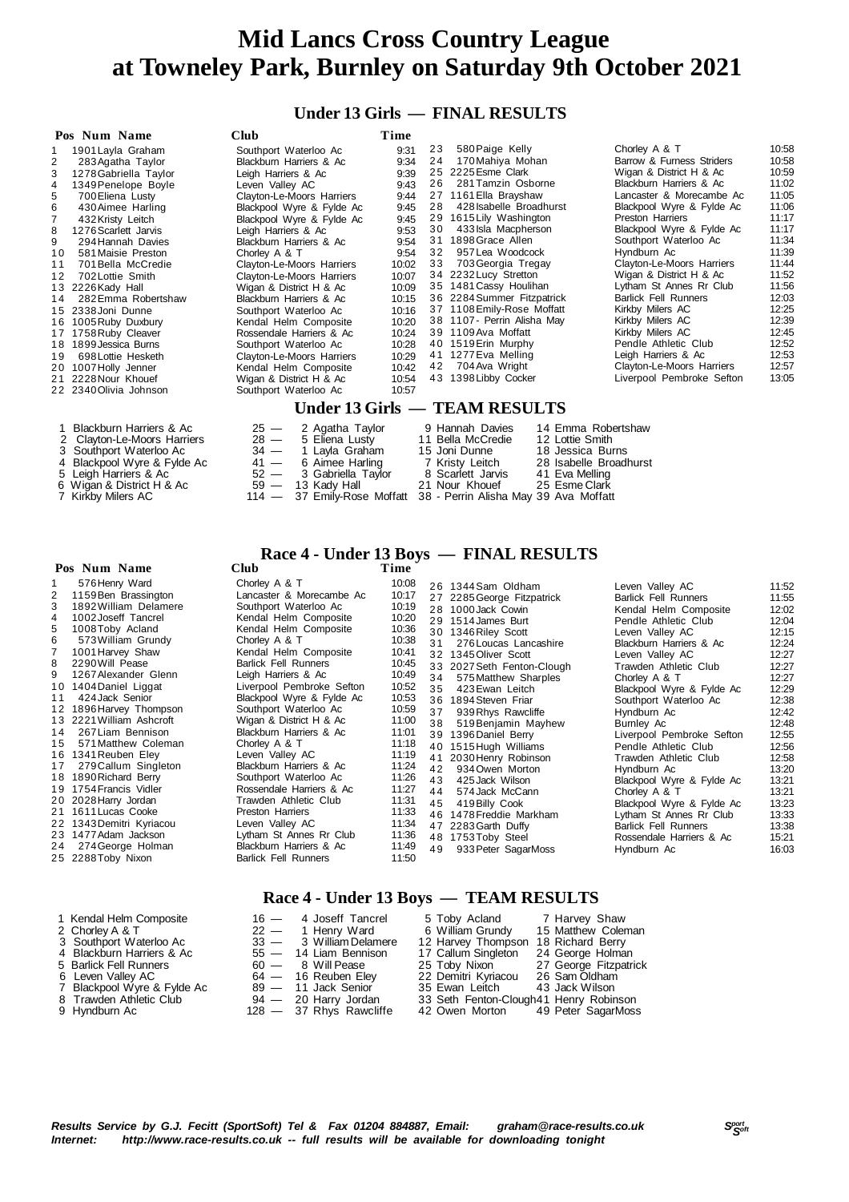### **Under 13 Girls — FINAL RESULTS**

|    | Pos Num Name            | <b>Club</b>               | Time  |    |                               |                             |       |
|----|-------------------------|---------------------------|-------|----|-------------------------------|-----------------------------|-------|
|    | 1901 Layla Graham       | Southport Waterloo Ac     | 9:31  | 23 | 580 Paige Kelly               | Chorley A & T               | 10:58 |
| 2  | 283 Agatha Taylor       | Blackburn Harriers & Ac   | 9:34  | 24 | 170 Mahiya Mohan              | Barrow & Furness Striders   | 10:58 |
| 3  | 1278 Gabriella Taylor   | Leigh Harriers & Ac       | 9:39  |    | 25 2225 Esme Clark            | Wigan & District H & Ac     | 10:59 |
| 4  | 1349 Penelope Boyle     | Leven Valley AC           | 9:43  | 26 | 281 Tamzin Osborne            | Blackburn Harriers & Ac     | 11:02 |
| 5  | 700 Eliena Lusty        | Clayton-Le-Moors Harriers | 9:44  |    | 27 1161 Ella Brayshaw         | Lancaster & Morecambe Ac    | 11:05 |
| 6  | 430 Aimee Harling       | Blackpool Wyre & Fylde Ac | 9:45  | 28 | 428 Isabelle Broadhurst       | Blackpool Wyre & Fylde Ac   | 11:06 |
|    | 432 Kristy Leitch       | Blackpool Wyre & Fylde Ac | 9:45  |    | 29 1615 Lily Washington       | Preston Harriers            | 11:17 |
| 8  | 1276 Scarlett Jarvis    | Leigh Harriers & Ac       | 9:53  | 30 | 433 Isla Macpherson           | Blackpool Wyre & Fylde Ac   | 11:17 |
| 9  | 294 Hannah Davies       | Blackburn Harriers & Ac   | 9:54  |    | 31 1898 Grace Allen           | Southport Waterloo Ac       | 11:34 |
| 10 | 581 Maisie Preston      | Chorley A & T             | 9:54  | 32 | 957 Lea Woodcock              | Hyndburn Ac                 | 11:39 |
| 11 | 701 Bella McCredie      | Clayton-Le-Moors Harriers | 10:02 | 33 | 703 Georgia Tregay            | Clayton-Le-Moors Harriers   | 11:44 |
| 12 | 702 Lottie Smith        | Clayton-Le-Moors Harriers | 10:07 |    | 34 2232 Lucy Stretton         | Wigan & District H & Ac     | 11:52 |
|    | 13 2226 Kady Hall       | Wigan & District H & Ac   | 10:09 |    | 35 1481 Cassy Houlihan        | Lytham St Annes Rr Club     | 11:56 |
| 14 | 282 Emma Robertshaw     | Blackburn Harriers & Ac   | 10:15 |    | 36 2284 Summer Fitzpatrick    | <b>Barlick Fell Runners</b> | 12:03 |
|    | 15 2338 Joni Dunne      | Southport Waterloo Ac     | 10:16 |    | 37 1108 Emily-Rose Moffatt    | Kirkby Milers AC            | 12:25 |
|    | 16 1005 Ruby Duxbury    | Kendal Helm Composite     | 10:20 |    | 38 1107- Perrin Alisha May    | Kirkby Milers AC            | 12:39 |
|    | 17 1758 Ruby Cleaver    | Rossendale Harriers & Ac  | 10:24 |    | 39 1109 Ava Moffatt           | Kirkby Milers AC            | 12:45 |
|    | 18 1899 Jessica Burns   | Southport Waterloo Ac     | 10:28 |    | 40 1519 Erin Murphy           | Pendle Athletic Club        | 12:52 |
| 19 | 698 Lottie Hesketh      | Clayton-Le-Moors Harriers | 10:29 |    | 41 1277 Eva Melling           | Leigh Harriers & Ac         | 12:53 |
|    | 20 1007 Holly Jenner    | Kendal Helm Composite     | 10:42 | 42 | 704 Ava Wright                | Clayton-Le-Moors Harriers   | 12:57 |
|    | 21 2228 Nour Khouef     | Wigan & District H & Ac   | 10:54 |    | 43 1398 Libby Cocker          | Liverpool Pembroke Sefton   | 13:05 |
|    | 22 2340 Olivia Johnson  | Southport Waterloo Ac     | 10:57 |    |                               |                             |       |
|    |                         |                           |       |    | Under 13 Girls — TEAM RESULTS |                             |       |
|    | Blackburn Harriers & Ac | $25 -$<br>2 Agatha Taylor |       |    | 9 Hannah Davies               | 14 Emma Robertshaw          |       |

- 
- 
- 2 Clayton-Le-Moors Harriers 28 5 Eliena Lusty 11 Bella McCredie 12 Lottie Smith<br>3 Southport Waterloo Ac 34 1 Layla Graham 15 Joni Dunne 18 Jessica B
- 
- 5 Leigh Harriers & Ac 52 3 Gabriella Taylor 8 Scarlett Jarvis 41 Eva Melling 6 Wigan & District H & Ac 59 13 Kady Hall 21 Nour Khouef 25 Esme Clark
- 

#### **Pos Num Name**

| 1              | 576 Henry Ward           |
|----------------|--------------------------|
| 2              | 1159 Ben Brassington     |
| 3              | 1892 William Delamere    |
| $\overline{4}$ | 1002 Joseff Tancrel      |
| 5              | 1008Toby Acland          |
| 6              | 573 William Grundy       |
| $\overline{7}$ | 1001 Harvey Shaw         |
| 8              | 2290 Will Pease          |
| 9              | 1267 Alexander Glenn     |
|                | 10 1404 Daniel Liggat    |
| 11             | 424 Jack Senior          |
|                | 12 1896 Harvey Thompson  |
|                | 13 2221 William Ashcroft |
| 14             | 267 Liam Bennison        |
|                | 15 571 Matthew Coleman   |
|                | 16 1341 Reuben Eley      |
| 17             | 279 Callum Singleton     |
|                | 18 1890 Richard Berry    |
|                | 19 1754 Francis Vidler   |
|                | 20 2028 Harry Jordan     |
|                | 21 1611 Lucas Cooke      |
| 22             | 1343 Demitri Kvriacou    |

- 22 1910 Bennin Rryhe
- 24 274 George Holn
- 25 2288Toby Nixon

# 1 Kendal Helm Composite 16 — 4 Joseff Tancrel 5 Toby Acland 7 Harvey Shaw

- 
- 
- 2 Chorley A & T<br>
22 3 Southport Waterloo Ac<br>
4 Blackburn Harriers & Ac<br>
5 5 Barlick Fell Runners 60
- 
- 5 Barlick Fell Runners 60<br>
6 Leven Valley AC 64<br>
64 7 Blackpool Wyre & Fylde Ac 89
- 
- 9 Hyndburn Ac **37 Rhys Rawcliffe 42 Owen Morton 42 Owen Morton 42 Owen Morton 42 Owen Morton 49 Peter Sagar**

114 — 37 Emily-Rose Moffatt 38 - Perrin Alisha May 39 Ava Moffatt

# **Race 4 - Under 13 Boys — FINAL RESULTS**

|    | ros Num Name             | Ciud                        | 1 ime |    |                            |                             |       |
|----|--------------------------|-----------------------------|-------|----|----------------------------|-----------------------------|-------|
|    | 576 Henry Ward           | Chorley A & T               | 10:08 |    | 26 1344 Sam Oldham         | Leven Valley AC             | 11:52 |
| 2  | 1159 Ben Brassington     | Lancaster & Morecambe Ac    | 10:17 |    | 27 2285 George Fitzpatrick | <b>Barlick Fell Runners</b> | 11:55 |
| 3  | 1892 William Delamere    | Southport Waterloo Ac       | 10:19 |    | 28 1000 Jack Cowin         | Kendal Helm Composite       | 12:02 |
| 4  | 1002 Joseff Tancrel      | Kendal Helm Composite       | 10:20 |    | 29 1514 James Burt         | Pendle Athletic Club        | 12:04 |
| 5. | 1008 Toby Acland         | Kendal Helm Composite       | 10:36 |    | 30 1346 Riley Scott        | Leven Valley AC             | 12:15 |
| 6  | 573 William Grundy       | Chorley A & T               | 10:38 | 31 | 276 Loucas Lancashire      | Blackburn Harriers & Ac     | 12:24 |
|    | 1001 Harvey Shaw         | Kendal Helm Composite       | 10:41 |    | 32 1345 Oliver Scott       | Leven Valley AC             | 12:27 |
| 8  | 2290 Will Pease          | <b>Barlick Fell Runners</b> | 10:45 |    | 33 2027 Seth Fenton-Clough | Trawden Athletic Club       | 12:27 |
| 9  | 1267 Alexander Glenn     | Leigh Harriers & Ac         | 10:49 | 34 | 575 Matthew Sharples       | Chorley A & T               | 12:27 |
|    | 10 1404 Daniel Liggat    | Liverpool Pembroke Sefton   | 10:52 | 35 | 423 Ewan Leitch            | Blackpool Wyre & Fylde Ac   | 12:29 |
| 11 | 424 Jack Senior          | Blackpool Wyre & Fylde Ac   | 10:53 |    | 36 1894 Steven Friar       | Southport Waterloo Ac       | 12:38 |
|    | 12 1896 Harvey Thompson  | Southport Waterloo Ac       | 10:59 | 37 | 939 Rhys Rawcliffe         | Hyndburn Ac                 | 12:42 |
|    | 13 2221 William Ashcroft | Wigan & District H & Ac     | 11:00 | 38 | 519 Benjamin Mayhew        | Burnley Ac                  | 12:48 |
|    | 14 267 Liam Bennison     | Blackburn Harriers & Ac     | 11:01 |    | 39 1396 Daniel Berry       | Liverpool Pembroke Sefton   | 12:55 |
| 15 | 571 Matthew Coleman      | Chorley A & T               | 11:18 |    | 40 1515 Hugh Williams      | Pendle Athletic Club        | 12:56 |
|    | 16 1341 Reuben Eley      | Leven Valley AC             | 11:19 |    | 41 2030 Henry Robinson     | Trawden Athletic Club       | 12:58 |
| 17 | 279 Callum Singleton     | Blackburn Harriers & Ac     | 11:24 | 42 | 934 Owen Morton            | Hyndburn Ac                 | 13:20 |
|    | 18 1890 Richard Berry    | Southport Waterloo Ac       | 11:26 | 43 | 425 Jack Wilson            | Blackpool Wyre & Fylde Ac   | 13:21 |
|    | 19 1754 Francis Vidler   | Rossendale Harriers & Ac    | 11:27 | 44 | 574 Jack McCann            | Chorley A & T               | 13:21 |
|    | 20 2028 Harry Jordan     | Trawden Athletic Club       | 11:31 | 45 | 419 Billy Cook             | Blackpool Wyre & Fylde Ac   | 13:23 |
|    | 21 1611 Lucas Cooke      | <b>Preston Harriers</b>     | 11:33 |    | 46 1478 Freddie Markham    | Lytham St Annes Rr Club     | 13:33 |
|    | 22 1343 Demitri Kyriacou | Leven Valley AC             | 11:34 |    | 47 2283 Garth Duffy        | <b>Barlick Fell Runners</b> | 13:38 |
|    | 23 1477 Adam Jackson     | Lytham St Annes Rr Club     | 11:36 |    | 48 1753 Toby Steel         | Rossendale Harriers & Ac    | 15:21 |
|    | 24 274 George Holman     | Blackburn Harriers & Ac     | 11:49 | 49 | 933 Peter SagarMoss        | Hyndburn Ac                 | 16:03 |
|    | 25 2288Toby Nixon        | <b>Barlick Fell Runners</b> | 11:50 |    |                            |                             |       |

### **Race 4 - Under 13 Boys — TEAM RESULTS**

| 1 Kendal Helm Composite     | 16 - 4 Joseff Tancrel   | 5 Toby Acland 7 Harvey Shaw            |                       |
|-----------------------------|-------------------------|----------------------------------------|-----------------------|
| 2 Chorley A & T             | 22 — 1 Henry Ward       | 6 William Grundy                       | 15 Matthew Coleman    |
| 3 Southport Waterloo Ac     | 33 - 3 William Delamere | 12 Harvey Thompson                     | 18 Richard Berry      |
| 4 Blackburn Harriers & Ac   | 55 - 14 Liam Bennison   | 17 Callum Singleton                    | 24 George Holman      |
| 5 Barlick Fell Runners      | $60 - 8$ Will Pease     | 25 Toby Nixon                          | 27 George Fitzpatrick |
| 6 Leven Valley AC           | $64 - 16$ Reuben Eley   | 22 Demitri Kyriacou                    | 26 Sam Oldham         |
| 7 Blackpool Wyre & Fylde Ac | 89 - 11 Jack Senior     | 35 Ewan Leitch                         | 43 Jack Wilson        |
| 8 Trawden Athletic Club     | $94 - 20$ Harry Jordan  | 33 Seth Fenton-Clough41 Henry Robinson |                       |
| 9 Hyndburn Ac               | 128 - 37 Rhys Rawcliffe | 42 Owen Morton 49 Peter SagarMoss      |                       |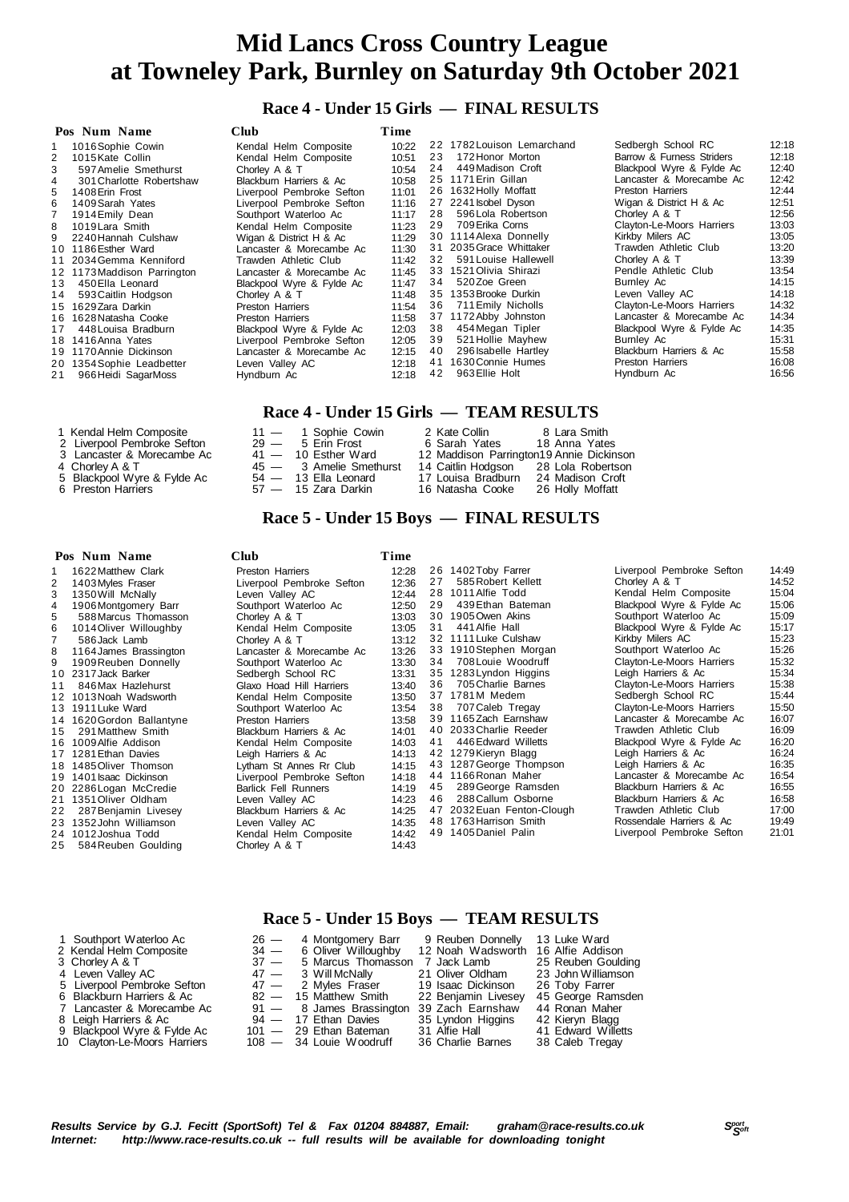### **Race 4 - Under 15 Girls — FINAL RESULTS**

|     | Pos Num Name                | Club                      | Time  |    |                            |                           |       |
|-----|-----------------------------|---------------------------|-------|----|----------------------------|---------------------------|-------|
|     | 1016 Sophie Cowin           | Kendal Helm Composite     | 10:22 |    | 22 1782 Louison Lemarchand | Sedbergh School RC        | 12:18 |
|     | 1015 Kate Collin            | Kendal Helm Composite     | 10:51 | 23 | 172 Honor Morton           | Barrow & Furness Striders | 12:18 |
| 3   | 597 Amelie Smethurst        | Chorley A & T             | 10:54 | 24 | 449 Madison Croft          | Blackpool Wyre & Fylde Ac | 12:40 |
|     | 301 Charlotte Robertshaw    | Blackburn Harriers & Ac   | 10:58 |    | 25 1171 Erin Gillan        | Lancaster & Morecambe Ac  | 12:42 |
| 5   | 1408 Erin Frost             | Liverpool Pembroke Sefton | 11:01 |    | 26 1632 Holly Moffatt      | <b>Preston Harriers</b>   | 12:44 |
| 6   | 1409 Sarah Yates            | Liverpool Pembroke Sefton | 11:16 |    | 27 2241 sobel Dyson        | Wigan & District H & Ac   | 12:51 |
|     | 1914 Emily Dean             | Southport Waterloo Ac     | 11:17 | 28 | 596 Lola Robertson         | Chorley A & T             | 12:56 |
| 8   | 1019 Lara Smith             | Kendal Helm Composite     | 11:23 | 29 | 709 Erika Corns            | Clayton-Le-Moors Harriers | 13:03 |
| 9   | 2240 Hannah Culshaw         | Wigan & District H & Ac   | 11:29 |    | 30 1114 Alexa Donnelly     | Kirkby Milers AC          | 13:05 |
| 10  | 1186 Esther Ward            | Lancaster & Morecambe Ac  | 11:30 |    | 31 2035 Grace Whittaker    | Trawden Athletic Club     | 13:20 |
|     | 11 2034 Gemma Kenniford     | Trawden Athletic Club     | 11:42 | 32 | 591 Louise Hallewell       | Chorley A & T             | 13:39 |
|     | 12 1173 Maddison Parrington | Lancaster & Morecambe Ac  | 11:45 |    | 33 1521 Olivia Shirazi     | Pendle Athletic Club      | 13:54 |
| 13  | 450 Ella Leonard            | Blackpool Wyre & Fylde Ac | 11:47 | 34 | 520Zoe Green               | Burnley Ac                | 14:15 |
| 14  | 593 Caitlin Hodgson         | Chorley A & T             | 11:48 | 35 | 1353 Brooke Durkin         | Leven Valley AC           | 14:18 |
| 15  | 1629 Zara Darkin            | <b>Preston Harriers</b>   | 11:54 | 36 | 711 Emily Nicholls         | Clayton-Le-Moors Harriers | 14:32 |
| 16. | 1628 Natasha Cooke          | <b>Preston Harriers</b>   | 11:58 |    | 37 1172 Abby Johnston      | Lancaster & Morecambe Ac  | 14:34 |
| 17  | 448 Louisa Bradburn         | Blackpool Wyre & Fylde Ac | 12:03 | 38 | 454 Megan Tipler           | Blackpool Wyre & Fylde Ac | 14:35 |
|     | 18 1416 Anna Yates          | Liverpool Pembroke Sefton | 12:05 | 39 | 521 Hollie Mayhew          | Burnley Ac                | 15:31 |
| 19  | 1170 Annie Dickinson        | Lancaster & Morecambe Ac  | 12:15 | 40 | 296 Isabelle Hartley       | Blackburn Harriers & Ac   | 15:58 |
| 20  | 1354 Sophie Leadbetter      | Leven Valley AC           | 12:18 | 41 | 1630 Connie Humes          | <b>Preston Harriers</b>   | 16:08 |
| 21  | 966 Heidi SagarMoss         | Hyndburn Ac               | 12:18 | 42 | 963 Ellie Holt             | Hyndburn Ac               | 16:56 |

### **Race 4 - Under 15 Girls — TEAM RESULTS**

| 1 Kendal Helm Composite     | $11 - 1$ Sophie Cowin   | 2 Kate Collin                            | 8 Lara Smith     |
|-----------------------------|-------------------------|------------------------------------------|------------------|
| 2 Liverpool Pembroke Sefton | $29 - 5$ Erin Frost     | 6 Sarah Yates 18 Anna Yates              |                  |
| 3 Lancaster & Morecambe Ac  | $41 - 10$ Esther Ward   | 12 Maddison Parrington19 Annie Dickinson |                  |
| 4 Chorley A & T             | 45 - 3 Amelie Smethurst | 14 Caitlin Hodgson 28 Lola Robertson     |                  |
| 5 Blackpool Wyre & Fylde Ac | $54 - 13$ Ella Leonard  | 17 Louisa Bradburn                       | 24 Madison Croft |
| 6 Preston Harriers          | 57 — 15 Zara Darkin     | 16 Natasha Cooke                         | 26 Holly Moffatt |

### **Race 5 - Under 15 Boys — FINAL RESULTS**

#### **Pos Num Name Club Time** 1 1622Matthew Clark Preston Harriers 12:28 1403 Myles Fraser Liverpool Pembroke Sefton<br>1350 Will McNally Leven Valley AC 3 1350 Will McNally Leven Valley AC 12:44<br>4 1906 Montgomery Barr Southport Waterloo Ac 12:50 4 1906Montgomery Barr Southport Waterloo Ac 12:50 5 588Marcus Thomasson Chorley A & T 13:03 6 1014Oliver Willoughby Kendal Helm Composite 13:05 7 586 Jack Lamb Chorley A & T 13:12<br>8 1164 James Brassington Lancaster & Morecambe Ac 13:26 8 1164James Brassington Lancaster & Morecambe Ac 13:26 9 1909Reuben Donnelly Southport Waterloo Ac 13:30 10 2317 Jack Barker Sedbergh School RC 13:31<br>11 846 Max Hazlehurst Glaxo Hoad Hill Harriers 13:40 11 846 Max Hazlehurst Glaxo Hoad Hill Harriers 13:40<br>12 1013 Noah Wadsworth Kendal Helm Composite 13:50 12 1013Noah Wadsworth Kendal Helm Composite 13:50<br>13 1911Luke Ward Southport Waterloo Ac 13:54 Southport Waterloo Ac 13:54<br>Preston Harriers 13:58 14 1620 Gordon Ballantyne Preston Harriers 13:58 13:58<br>15 291 Matthew Smith Blackburn Harriers & Ac 14:01 1 5 291Matthew Smith Blackburn Harriers & Ac 14:01 1 6 1009Alfie Addison Kendal Helm Composite 14:03 17 1281 Ethan Davies Leigh Harriers & Ac 14:13<br>18 1485 Oliver Thomson Lytham St Annes Rr Club 14:15 18 1485 Oliver Thomson Lytham St Annes Rr Club 14:15<br>19 1401 Isaac Dickinson Liverpool Pembroke Sefton 14:18 Liverpool Pembroke Sefton 14:18<br>Barlick Fell Runners 14:19 2 0 2286Logan McCredie Barlick Fell Runners 14:19 1351 Oliver Oldham 2 2 287Benjamin Livesey Blackburn Harriers & Ac 14:25 23 1352John Williamson Leven Valley AC 14:35<br>24 1012Joshua Todd Kendal Helm Composite 14:42 24 1012Joshua Todd **Kendal Helm Composite** 14:42<br>25 584 Reuben Goulding Chorley A & T 14:43 584 Reuben Goulding 26 1402Toby Farrer Liverpool Pembroke Sefton 14:49<br>27 585 Robert Kellett Chorley A & T 14:52 27 585 Robert Kellett Chorley A & T 14:52<br>28 1011 Alfie Todd Chorley Kendal Helm Composite 15:04 28 1011 Alfie Todd **Kendal Helm Composite** 15:04<br>29 139 Ethan Bateman Blackpool Wyre & Fylde Ac 15:06 29 439Ethan Bateman Blackpool Wyre & Fylde Ac 15:06<br>30 1905Owen Akins Southport Waterloo Ac 15:09 Southport Waterloo Ac 31 441 Alfie Hall **Blackpool Wyre & Fylde Ac** 15:17<br>32 1111 Luke Culshaw **Blackpool Wilers AC** 15:23 3 21111 Luke Culshaw Kirkby Milers AC 15:23<br>3 31910 Stephen Morgan Southport Waterloo Ac 15:26 3 3 1910Stephen Morgan Southport Waterloo Ac 15:26 3 4 708Louie Woodruff Clayton-Le-Moors Harriers 15:32 35 1283Lyndon Higgins Leigh Harriers & Ac 15:34<br>36 705 Charlie Barnes Clayton-Le-Moors Harriers 15:38 3 6 705Charlie Barnes Clayton-Le-Moors Harriers 15:38 37 1781M Medem Sedbergh School RC 15:44<br>38 707 Caleb Tregay Clayton-Le-Moors Harriers 15:50 3 707 Caleb Tregay Clayton-Le-Moors Harriers 1165 Zach Farnshaw Lancaster & Morecambe 3 9 1165Zach Earnshaw Lancaster & Morecambe Ac 16:07 40 2033Charlie Reeder Trawden Athletic Club 16:09<br>41 446 Edward Willetts Blackpool Wyre & Fylde Ac 16:20 41 446 Edward Willetts **Blackpool Wyre & Fylde Ac 16:20**<br>42 1279 Kieryn Blagg **Blackpool Wyre & Fylde Ac 16:20** Leigh Harriers & Ac 16:24<br>
Leigh Harriers & Ac 16:35 4 3 1287George Thompson Leigh Harriers & Ac 16:35 4 4 1166Ronan Maher Lancaster & Morecambe Ac 16:54 4 5 289George Ramsden Blackburn Harriers & Ac 16:55 4 6 288Callum Osborne Blackburn Harriers & Ac 16:58 4 7 2032Euan Fenton-Clough Trawden Athletic Club 17:00 48 1763 Harrison Smith Rossendale Harriers & Ac 19:49<br>49 1405 Daniel Palin Liverpool Pembroke Sefton 21:01 Liverpool Pembroke Sefton

### **Race 5 - Under 15 Boys — TEAM RESULTS**

| 1 Southport Waterloo Ac      |        | $26 - 4$ Montgomery Barr                  | 9 Reuben Donnelly                  | 13 Luke Ward       |
|------------------------------|--------|-------------------------------------------|------------------------------------|--------------------|
| 2 Kendal Helm Composite      |        | $34 - 6$ Oliver Willoughby                | 12 Noah Wadsworth 16 Alfie Addison |                    |
| 3 Chorley A & T              | $37 -$ | 5 Marcus Thomasson                        | 7 Jack Lamb                        | 25 Reuben Goulding |
| 4 Leven Valley AC            |        | 47 — 3 Will McNally                       | 21 Oliver Oldham                   | 23 John Williamson |
| 5 Liverpool Pembroke Sefton  |        | 47 - 2 Myles Fraser 19 Isaac Dickinson    |                                    | 26 Toby Farrer     |
| 6 Blackburn Harriers & Ac    |        | 82 - 15 Matthew Smith                     | 22 Benjamin Livesey                | 45 George Ramsden  |
| 7 Lancaster & Morecambe Ac   |        | 91 - 8 James Brassington 39 Zach Earnshaw |                                    | 44 Ronan Maher     |
| 8 Leigh Harriers & Ac        |        | 94 — 17 Ethan Davies                      | 35 Lyndon Higgins                  | 42 Kieryn Blagg    |
| 9 Blackpool Wyre & Fylde Ac  |        | 101 - 29 Ethan Bateman                    | 31 Alfie Hall                      | 41 Edward Willetts |
| 10 Clayton-Le-Moors Harriers |        | $108 - 34$ Louie Woodruff                 | 36 Charlie Barnes                  | 38 Caleb Tregay    |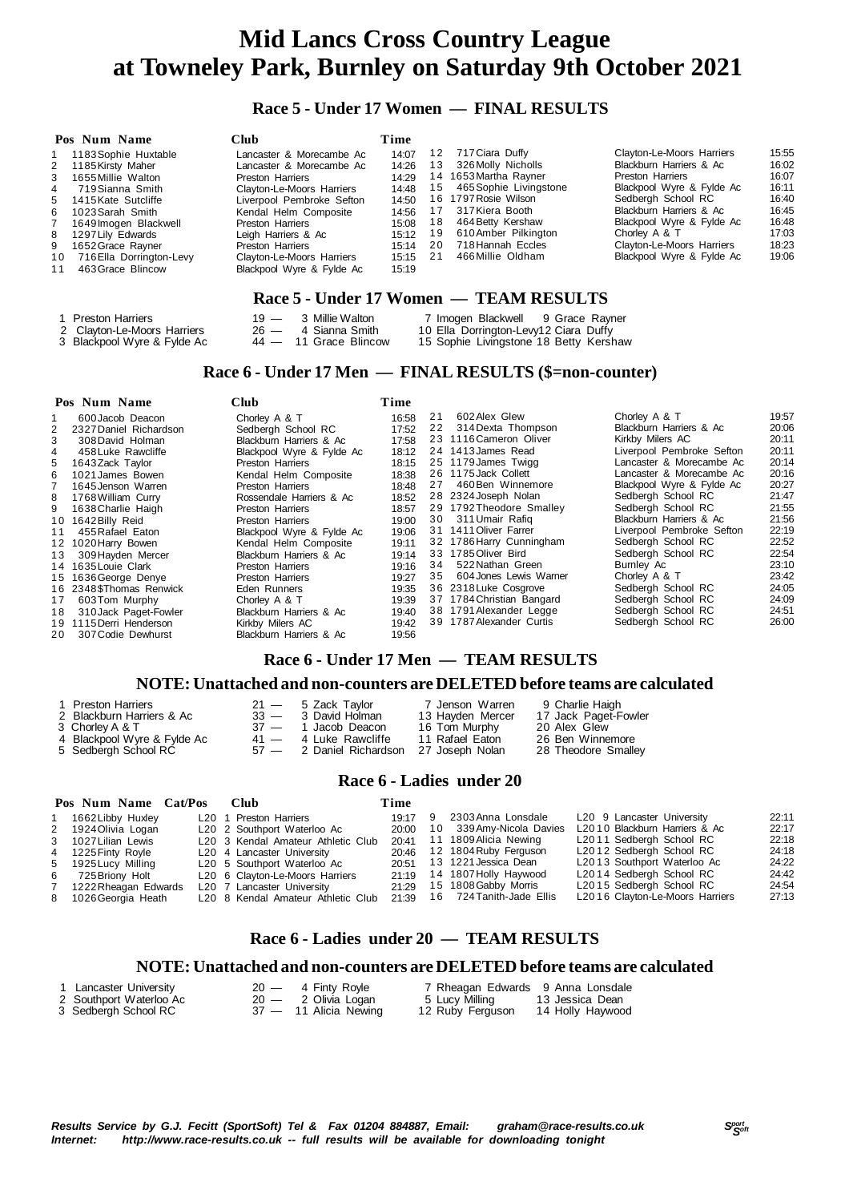### **Race 5 - Under 17 Women — FINAL RESULTS**

|                | Pos Num Name             | Club                      | Time  |     |                        |                           |       |
|----------------|--------------------------|---------------------------|-------|-----|------------------------|---------------------------|-------|
|                | 1183 Sophie Huxtable     | Lancaster & Morecambe Ac  | 14:07 | 12  | 717 Ciara Duffy        | Clayton-Le-Moors Harriers | 15:55 |
|                | 2 1185 Kirsty Maher      | Lancaster & Morecambe Ac  | 14:26 | 13  | 326 Molly Nicholls     | Blackburn Harriers & Ac   | 16:02 |
| 3              | 1655 Millie Walton       | Preston Harriers          | 14:29 |     | 14 1653 Martha Rayner  | Preston Harriers          | 16:07 |
| 4              | 719 Sianna Smith         | Clayton-Le-Moors Harriers | 14:48 | 15  | 465 Sophie Livingstone | Blackpool Wyre & Fylde Ac | 16:11 |
|                | 5 1415 Kate Sutcliffe    | Liverpool Pembroke Sefton | 14:50 | 16. | 1797 Rosie Wilson      | Sedbergh School RC        | 16:40 |
| 6              | 1023 Sarah Smith         | Kendal Helm Composite     | 14:56 |     | 317 Kiera Booth        | Blackburn Harriers & Ac   | 16:45 |
| $\overline{7}$ | 1649 Imogen Blackwell    | <b>Preston Harriers</b>   | 15:08 | 18  | 464 Betty Kershaw      | Blackpool Wyre & Fylde Ac | 16:48 |
| 8              | 1297 Lily Edwards        | Leigh Harriers & Ac       | 15:12 | 19  | 610 Amber Pilkington   | Chorley A & T             | 17:03 |
| 9              | 1652 Grace Rayner        | Preston Harriers          | 15:14 | 20  | 718 Hannah Eccles      | Clayton-Le-Moors Harriers | 18:23 |
| 10             | 716 Ella Dorrington-Levy | Clayton-Le-Moors Harriers | 15:15 | 21  | 466 Millie Oldham      | Blackpool Wyre & Fylde Ac | 19:06 |
| 11             | 463 Grace Blincow        | Blackpool Wyre & Fylde Ac | 15:19 |     |                        |                           |       |
|                |                          |                           |       |     |                        |                           |       |

### **Race 5 - Under 17 Women — TEAM RESULTS**

| 1 Preston Harriers          | $19 - 3$ Millie Walton  | 7 Imogen Blackwell 9 Grace Rayner      |  |
|-----------------------------|-------------------------|----------------------------------------|--|
| 2 Clayton-Le-Moors Harriers | $26 - 4$ Sianna Smith   | 10 Ella Dorrington-Levy12 Ciara Duffy  |  |
| 3 Blackpool Wyre & Fylde Ac | $44 - 11$ Grace Blincow | 15 Sophie Livingstone 18 Betty Kershaw |  |

### **Race 6 - Under 17 Men — FINAL RESULTS (\$=non-counter)**

|    | Pos Num Name             | Club                      | Time  |    |                           |                           |       |
|----|--------------------------|---------------------------|-------|----|---------------------------|---------------------------|-------|
|    | 600 Jacob Deacon         | Chorley A & T             | 16:58 | 21 | 602 Alex Glew             | Chorley A & T             | 19:57 |
| 2  | 2327 Daniel Richardson   | Sedberah School RC        | 17:52 | 22 | 314 Dexta Thompson        | Blackburn Harriers & Ac   | 20:06 |
| 3  | 308 David Holman         | Blackburn Harriers & Ac   | 17:58 |    | 23 1116 Cameron Oliver    | Kirkby Milers AC          | 20:11 |
| 4  | 458 Luke Rawcliffe       | Blackpool Wyre & Fylde Ac | 18:12 |    | 24 1413 James Read        | Liverpool Pembroke Sefton | 20:11 |
| 5  | 1643 Zack Taylor         | Preston Harriers          | 18:15 |    | 25 1179 James Twigg       | Lancaster & Morecambe Ac  | 20:14 |
| 6  | 1021 James Bowen         | Kendal Helm Composite     | 18:38 |    | 26 1175 Jack Collett      | Lancaster & Morecambe Ac  | 20:16 |
|    | 1645 Jenson Warren       | Preston Harriers          | 18:48 | 27 | 460 Ben Winnemore         | Blackpool Wyre & Fylde Ac | 20:27 |
| 8  | 1768 William Curry       | Rossendale Harriers & Ac  | 18:52 |    | 28 2324 Joseph Nolan      | Sedbergh School RC        | 21:47 |
| 9  | 1638 Charlie Haigh       | <b>Preston Harriers</b>   | 18:57 |    | 29 1792 Theodore Smalley  | Sedbergh School RC        | 21:55 |
| 10 | 1642 Billy Reid          | <b>Preston Harriers</b>   | 19:00 | 30 | 311 Umair Rafig           | Blackburn Harriers & Ac   | 21:56 |
| 11 | 455 Rafael Eaton         | Blackpool Wyre & Fylde Ac | 19:06 |    | 31 1411 Oliver Farrer     | Liverpool Pembroke Sefton | 22:19 |
|    | 12 1020 Harry Bowen      | Kendal Helm Composite     | 19:11 |    | 32 1786 Harry Cunningham  | Sedbergh School RC        | 22:52 |
| 13 | 309 Hayden Mercer        | Blackburn Harriers & Ac   | 19:14 |    | 33 1785 Oliver Bird       | Sedberah School RC        | 22:54 |
|    | 14 1635 Louie Clark      | <b>Preston Harriers</b>   | 19:16 | 34 | 522 Nathan Green          | Bumley Ac                 | 23:10 |
|    | 15 1636 George Denye     | Preston Harriers          | 19:27 | 35 | 604 Jones Lewis Warner    | Chorley A & T             | 23:42 |
|    | 16 2348 \$Thomas Renwick | Eden Runners              | 19:35 |    | 36 2318 Luke Cosgrove     | Sedbergh School RC        | 24:05 |
| 17 | 603Tom Murphy            | Chorley A & T             | 19:39 |    | 37 1784 Christian Bangard | Sedbergh School RC        | 24:09 |
| 18 | 310 Jack Paget-Fowler    | Blackburn Harriers & Ac   | 19:40 |    | 38 1791 Alexander Legge   | Sedbergh School RC        | 24:51 |
|    | 19 1115 Derri Henderson  | Kirkby Milers AC          | 19:42 |    | 39 1787 Alexander Curtis  | Sedbergh School RC        | 26:00 |
| 20 | 307 Codie Dewhurst       | Blackburn Harriers & Ac   | 19:56 |    |                           |                           |       |

### **Race 6 - Under 17 Men — TEAM RESULTS**

### **NOTE: Unattached and non-counters are DELETED before teams are calculated**

| 1 Preston Harriers                           | $21 - 5$ Zack Tavlor                       | 7 Jenson Warren                   | 9 Charlie Haigh                      |
|----------------------------------------------|--------------------------------------------|-----------------------------------|--------------------------------------|
| 2 Blackburn Harriers & Ac<br>3 Chorley A & T | 33 — 3 David Holman<br>37 — 1 Jacob Deacon | 13 Hayden Mercer<br>16 Tom Murphy | 17 Jack Paget-Fowler<br>20 Alex Glew |
| 4 Blackpool Wyre & Fylde Ac                  | 41 — 4 Luke Rawcliffe                      | 11 Rafael Eaton                   | 26 Ben Winnemore                     |
| 5 Sedbergh School RC                         | 57 — 2 Daniel Richardson 27 Joseph Nolan   |                                   | 28 Theodore Smalley                  |

### **Race 6 - Ladies under 20**

| Pos Num Name Cat/Pos | <b>Club</b>                                    | Time  |     |                                |                                       |       |
|----------------------|------------------------------------------------|-------|-----|--------------------------------|---------------------------------------|-------|
| 1662 Libby Huxley    | L <sub>20</sub> 1 Preston Harriers             | 19:17 | - 9 | 2303 Anna Lonsdale             | L20 9 Lancaster University            | 22:11 |
| 2 1924 Olivia Logan  | L20 2 Southport Waterloo Ac                    | 20:00 |     | 10 339 Amy-Nicola Davies       | L2010 Blackburn Harriers & Ac         | 22:17 |
| 3 1027 Lilian Lewis  | L <sub>20</sub> 3 Kendal Amateur Athletic Club | 20:41 |     | 11 1809 Alicia Newing          | L2011 Sedbergh School RC              | 22:18 |
| 4 1225 Finty Royle   | L20 4 Lancaster University                     |       |     | 20:46 12 1804 Ruby Ferguson    | L2012 Sedbergh School RC              | 24:18 |
| 5 1925 Lucy Milling  | L20 5 Southport Waterloo Ac                    |       |     | 20:51 13 1221 Jessica Dean     | L2013 Southport Waterloo Ac           | 24:22 |
| 6 725 Briony Holt    | L20 6 Clayton-Le-Moors Harriers                | 21.19 |     | 14 1807 Holly Haywood          | L2014 Sedbergh School RC              | 24:42 |
| 1222 Rheagan Edwards | L20 7 Lancaster University                     | 21:29 |     | 15 1808 Gabby Morris           | L <sub>20</sub> 15 Sedbergh School RC | 24:54 |
| 8 1026 Georgia Heath | L20 8 Kendal Amateur Athletic Club             |       |     | 21:39 16 724 Tanith-Jade Ellis | L2016 Clayton-Le-Moors Harriers       | 27:13 |

### **Race 6 - Ladies under 20 — TEAM RESULTS**

### **NOTE: Unattached and non-counters are DELETED before teams are calculated**

| Lancaster Universitv    | $20 - 4$ Finty Rovie  | 7 Rheagan Edwards 9 Anna Lonsdale |                  |
|-------------------------|-----------------------|-----------------------------------|------------------|
| 2 Southport Waterloo Ac | $20 - 2$ Olivia Logan | 5 Lucy Milling                    | 13 Jessica Dean  |
| 3 Sedbergh School RC    | 37 — 11 Alicia Newing | 12 Ruby Ferguson                  | 14 Holly Haywood |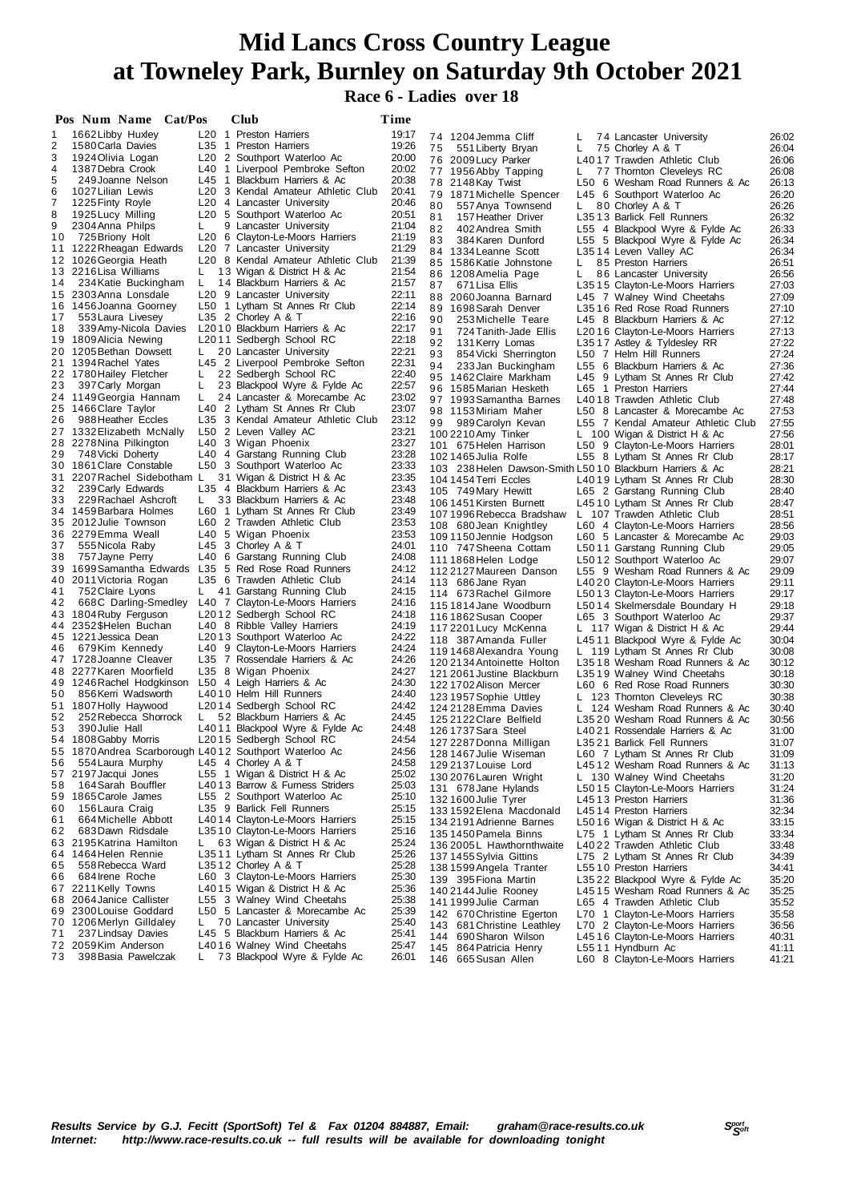### **Race 6 - Ladies over 18**

|        | Pos Num Name Cat/Pos                                   |    | Club                                                                            | Time           |                                                           |    |                                                                     |                |
|--------|--------------------------------------------------------|----|---------------------------------------------------------------------------------|----------------|-----------------------------------------------------------|----|---------------------------------------------------------------------|----------------|
| 1      | 1662 Libby Huxley                                      |    | L20 1 Preston Harriers                                                          | 19:17          | 74 1204 Jemma Cliff                                       | L. | 74 Lancaster University                                             | 26:02          |
| 2      | 1580 Carla Davies                                      |    | L35 1 Preston Harriers                                                          | 19:26          | 75<br>551 Liberty Bryan                                   | L  | 75 Chorley A & T                                                    | 26:04          |
| 3      | 1924 Olivia Logan                                      |    | L20 2 Southport Waterloo Ac                                                     | 20:00          | 76 2009 Lucy Parker                                       |    | L4017 Trawden Athletic Club                                         | 26:06          |
| 4      | 1387 Debra Crook                                       |    | L40 1 Liverpool Pembroke Sefton                                                 | 20:02          | 77 1956 Abby Tapping                                      | L. | 77 Thornton Cleveleys RC                                            | 26:08          |
| 5<br>6 | 249 Joanne Nelson<br>1027 Lilian Lewis                 |    | L45 1 Blackburn Harriers & Ac<br>L <sub>20</sub> 3 Kendal Amateur Athletic Club | 20:38<br>20:41 | 78 2148 Kay Twist                                         |    | L50 6 Wesham Road Runners & Ac                                      | 26:13          |
| 7      | 1225 Finty Royle                                       |    | L20 4 Lancaster University                                                      | 20:46          | 79 1871 Michelle Spencer                                  |    | L45 6 Southport Waterloo Ac                                         | 26:20          |
| 8      | 1925 Lucy Milling                                      |    | L20 5 Southport Waterloo Ac                                                     | 20:51          | 80<br>557 Anya Townsend<br>81<br>157 Heather Driver       | L. | 80 Chorley A & T<br>L3513 Barlick Fell Runners                      | 26:26<br>26:32 |
| 9      | 2304 Anna Philps                                       | L  | 9 Lancaster University                                                          | 21:04          | 82<br>402 Andrea Smith                                    |    | L55 4 Blackpool Wyre & Fylde Ac                                     | 26:33          |
| 10     | 725 Briony Holt                                        |    | L20 6 Clayton-Le-Moors Harriers                                                 | 21:19          | 83<br>384 Karen Dunford                                   |    | L55 5 Blackpool Wyre & Fylde Ac                                     | 26:34          |
|        | 11 1222 Rheagan Edwards                                |    | L20 7 Lancaster University                                                      | 21:29          | 84 1334 Leanne Scott                                      |    | L3514 Leven Valley AC                                               | 26:34          |
|        | 12 1026 Georgia Heath                                  |    | L20 8 Kendal Amateur Athletic Club                                              | 21:39          | 85 1586 Katie Johnstone                                   | L. | 85 Preston Harriers                                                 | 26:51          |
|        | 13 2216 Lisa Williams                                  | L. | 13 Wigan & District H & Ac                                                      | 21:54          | 86 1208 Amelia Page                                       | L. | 86 Lancaster University                                             | 26:56          |
| 14     | 234 Katie Buckingham<br>15 2303 Anna Lonsdale          | L  | 14 Blackburn Harriers & Ac                                                      | 21:57<br>22:11 | 87<br>671 Lisa Ellis                                      |    | L3515 Clayton-Le-Moors Harriers                                     | 27:03          |
|        | 16 1456 Joanna Goorney                                 |    | L20 9 Lancaster University<br>L50 1 Lytham St Annes Rr Club                     | 22:14          | 88 2060 Joanna Barnard                                    |    | L45 7 Walney Wind Cheetahs                                          | 27:09          |
| 17     | 553 Laura Livesey                                      |    | L35 2 Chorley A & T                                                             | 22:16          | 89 1698 Sarah Denver<br>90                                |    | L3516 Red Rose Road Runners                                         | 27:10          |
| 18     | 339 Amy-Nicola Davies                                  |    | L2010 Blackburn Harriers & Ac                                                   | 22:17          | 253 Michelle Teare<br>91<br>724 Tanith-Jade Ellis         |    | L45 8 Blackburn Harriers & Ac<br>L2016 Clayton-Le-Moors Harriers    | 27:12<br>27:13 |
|        | 19 1809 Alicia Newing                                  |    | L2011 Sedbergh School RC                                                        | 22:18          | 92<br>131 Kerry Lomas                                     |    | L3517 Astley & Tyldesley RR                                         | 27:22          |
|        | 20 1205 Bethan Dowsett                                 | L. | 20 Lancaster University                                                         | 22:21          | 93<br>854 Vicki Sherrington                               |    | L50 7 Helm Hill Runners                                             | 27:24          |
|        | 21 1394 Rachel Yates                                   |    | L45 2 Liverpool Pembroke Sefton                                                 | 22:31          | 94<br>233 Jan Buckingham                                  |    | L55 6 Blackburn Harriers & Ac                                       | 27:36          |
|        | 22 1780 Hailey Fletcher                                | L  | 22 Sedbergh School RC                                                           | 22:40          | 95 1462 Claire Markham                                    |    | L45 9 Lytham St Annes Rr Club                                       | 27:42          |
| 23     | 397 Carly Morgan                                       | L  | 23 Blackpool Wyre & Fylde Ac                                                    | 22:57          | 96 1585 Marian Hesketh                                    |    | L65 1 Preston Harriers                                              | 27:44          |
|        | 24 1149 Georgia Hannam<br>25 1466 Clare Taylor         | L  | 24 Lancaster & Morecambe Ac<br>L40 2 Lytham St Annes Rr Club                    | 23:02<br>23:07 | 97 1993 Samantha Barnes                                   |    | L4018 Trawden Athletic Club                                         | 27:48          |
| 26     | 988 Heather Eccles                                     |    | L35 3 Kendal Amateur Athletic Club                                              | 23:12          | 98 1153 Miriam Maher                                      |    | L50 8 Lancaster & Morecambe Ac                                      | 27:53          |
|        | 27 1332 Elizabeth McNally                              |    | L50 2 Leven Valley AC                                                           | 23:21          | 99<br>989 Carolyn Kevan<br>100 2210 Amy Tinker            |    | L55 7 Kendal Amateur Athletic Club<br>L 100 Wigan & District H & Ac | 27:55<br>27:56 |
|        | 28 2278 Nina Pilkington                                |    | L40 3 Wigan Phoenix                                                             | 23:27          | 101 675 Helen Harrison                                    |    | L50 9 Clayton-Le-Moors Harriers                                     | 28:01          |
| 29     | 748 Vicki Doherty                                      |    | L40 4 Garstang Running Club                                                     | 23:28          | 1021465 Julia Rolfe                                       |    | L55 8 Lytham St Annes Rr Club                                       | 28:17          |
|        | 30 1861 Clare Constable                                |    | L50 3 Southport Waterloo Ac                                                     | 23:33          | 103 238 Helen Dawson-Smith L50 10 Blackburn Harriers & Ac |    |                                                                     | 28:21          |
|        | 31 2207 Rachel Sidebotham L                            |    | 31 Wigan & District H & Ac                                                      | 23:35          | 104 1454 Terri Eccles                                     |    | L4019 Lytham St Annes Rr Club                                       | 28:30          |
| 32     | 239 Carly Edwards                                      |    | L35 4 Blackburn Harriers & Ac                                                   | 23:43          | 105 749 Mary Hewitt                                       |    | L65 2 Garstang Running Club                                         | 28:40          |
| 33     | 229 Rachael Ashcroft<br>34 1459 Barbara Holmes         | L. | 33 Blackburn Harriers & Ac<br>L60 1 Lytham St Annes Rr Club                     | 23:48<br>23:49 | 106 1451 Kirsten Burnett                                  |    | L4510 Lytham St Annes Rr Club                                       | 28:47          |
|        | 35 2012 Julie Townson                                  |    | L60 2 Trawden Athletic Club                                                     | 23:53          | 107 1996 Rebecca Bradshaw                                 |    | L 107 Trawden Athletic Club                                         | 28:51          |
|        | 36 2279Emma Weall                                      |    | L40 5 Wigan Phoenix                                                             | 23:53          | 108 680 Jean Knightley<br>109 1150 Jennie Hodgson         |    | L60 4 Clayton-Le-Moors Harriers<br>L60 5 Lancaster & Morecambe Ac   | 28:56<br>29:03 |
| 37     | 555 Nicola Raby                                        |    | L45 3 Chorley A & T                                                             | 24:01          | 110 747 Sheena Cottam                                     |    | L5011 Garstang Running Club                                         | 29:05          |
| 38     | 757 Jayne Perry                                        |    | L40 6 Garstang Running Club                                                     | 24:08          | 1111868 Helen Lodge                                       |    | L5012 Southport Waterloo Ac                                         | 29:07          |
|        | 39 1699 Samantha Edwards L35                           |    | 5 Red Rose Road Runners                                                         | 24:12          | 112 2127 Maureen Danson                                   |    | L55 9 Wesham Road Runners & Ac                                      | 29:09          |
|        | 40 2011 Victoria Rogan                                 |    | L35 6 Trawden Athletic Club                                                     | 24:14          | 113 686 Jane Ryan                                         |    | L4020 Clayton-Le-Moors Harriers                                     | 29:11          |
| 41     | 752 Claire Lyons                                       | L. | 41 Garstang Running Club                                                        | 24:15          | 114 673 Rachel Gilmore                                    |    | L5013 Clayton-Le-Moors Harriers                                     | 29:17          |
| 42     | 668C Darling-Smedley<br>43 1804 Ruby Ferguson          |    | L40 7 Clayton-Le-Moors Harriers<br>L2012 Sedbergh School RC                     | 24:16<br>24:18 | 1151814 Jane Woodburn                                     |    | L5014 Skelmersdale Boundary H                                       | 29:18          |
|        | 44 2352\$Helen Buchan                                  |    | L40 8 Ribble Valley Harriers                                                    | 24:19          | 116 1862 Susan Cooper<br>117 2201 Lucy McKenna            |    | L65 3 Southport Waterloo Ac                                         | 29:37<br>29:44 |
|        | 45 1221 Jessica Dean                                   |    | L2013 Southport Waterloo Ac                                                     | 24:22          | 118 387 Amanda Fuller                                     |    | L 117 Wigan & District H & Ac<br>L4511 Blackpool Wyre & Fylde Ac    | 30:04          |
| 46     | 679Kim Kennedy                                         |    | L40 9 Clayton-Le-Moors Harriers                                                 | 24:24          | 119 1468 Alexandra Young                                  |    | L 119 Lytham St Annes Rr Club                                       | 30:08          |
|        | 47 1728 Joanne Cleaver                                 |    | L35 7 Rossendale Harriers & Ac                                                  | 24:26          | 120 2134 Antoinette Holton                                |    | L3518 Wesham Road Runners & Ac                                      | 30:12          |
|        | 48 2277 Karen Moorfield                                |    | L35 8 Wigan Phoenix                                                             | 24:27          | 121 2061 Justine Blackburn                                |    | L3519 Walney Wind Cheetahs                                          | 30:18          |
|        | 49 1246 Rachel Hodgkinson                              |    | L50 4 Leigh Harriers & Ac                                                       | 24:30          | 122 1702 Alison Mercer                                    |    | L60 6 Red Rose Road Runners                                         | 30:30          |
| 50     | 856 Kerri Wadsworth<br>51 1807 Holly Haywood           |    | L4010 Helm Hill Runners<br>L2014 Sedbergh School RC                             | 24:40<br>24:42 | 123 1957 Sophie Uttley                                    |    | L 123 Thornton Cleveleys RC                                         | 30:38          |
| 52     | 252 Rebecca Shorrock                                   | L. | 52 Blackburn Harriers & Ac                                                      | 24:45          | 124 2128 Emma Davies                                      |    | L 124 Wesham Road Runners & Ac                                      | 30:40          |
| 53     | 390 Julie Hall                                         |    | L4011 Blackpool Wyre & Fylde Ac                                                 | 24:48          | 125 2122 Clare Belfield<br>126 1737 Sara Steel            |    | L3520 Wesham Road Runners & Ac<br>L4021 Rossendale Harriers & Ac    | 30:56<br>31:00 |
|        | 54 1808 Gabby Morris                                   |    | L <sub>20</sub> 15 Sedbergh School RC                                           | 24:54          | 127 2287 Donna Milligan                                   |    | L3521 Barlick Fell Runners                                          | 31:07          |
|        | 55 1870 Andrea Scarborough L4012 Southport Waterloo Ac |    |                                                                                 | 24:56          | 128 1467 Julie Wiseman                                    |    | L60 7 Lytham St Annes Rr Club                                       | 31:09          |
| 56     | 554 Laura Murphy                                       |    | L45 4 Chorley A $\&$ T                                                          | 24:58          | 129 2137 Louise Lord                                      |    | L4512 Wesham Road Runners & Ac                                      | 31:13          |
|        | 57 2197 Jacqui Jones                                   |    | L55 1 Wigan & District H & Ac                                                   | 25:02          | 130 2076 Lauren Wright                                    |    | L 130 Walney Wind Cheetahs                                          | 31:20          |
| 58     | 164 Sarah Bouffler                                     |    | L4013 Barrow & Furness Striders                                                 | 25:03          | 131 678 Jane Hylands                                      |    | L5015 Clayton-Le-Moors Harriers                                     | 31:24          |
| 60     | 59 1865 Carole James<br>156 Laura Craig                |    | L55 2 Southport Waterloo Ac<br>L35 9 Barlick Fell Runners                       | 25:10<br>25:15 | 132 1600 Julie Tyrer                                      |    | L4513 Preston Harriers                                              | 31:36          |
| 61     | 664 Michelle Abbott                                    |    | L4014 Clayton-Le-Moors Harriers                                                 | 25:15          | 133 1592 Elena Macdonald                                  |    | L4514 Preston Harriers                                              | 32:34          |
| 62     | 683 Dawn Ridsdale                                      |    | L3510 Clayton-Le-Moors Harriers                                                 | 25:16          | 134 2191 Adrienne Barnes<br>135 1450 Pamela Binns         |    | L5016 Wigan & District H & Ac<br>L75 1 Lytham St Annes Rr Club      | 33:15<br>33:34 |
|        | 63 2195 Katrina Hamilton                               | L. | 63 Wigan & District H & Ac                                                      | 25:24          | 136 2005 L Hawthornthwaite                                |    | L4022 Trawden Athletic Club                                         | 33:48          |
|        | 64 1464 Helen Rennie                                   |    | L3511 Lytham St Annes Rr Club                                                   | 25:26          | 137 1455 Sylvia Gittins                                   |    | L75 2 Lytham St Annes Rr Club                                       | 34:39          |
| 65     | 558 Rebecca Ward                                       |    | L3512 Chorley A & T                                                             | 25:28          | 138 1599 Angela Tranter                                   |    | L5510 Preston Harriers                                              | 34:41          |
| 66     | 684 Irene Roche                                        |    | L60 3 Clayton-Le-Moors Harriers                                                 | 25:30          | 139 395 Fiona Martin                                      |    | L3522 Blackpool Wyre & Fylde Ac                                     | 35:20          |
|        | 67 2211 Kelly Towns                                    |    | L4015 Wigan & District H & Ac                                                   | 25:36          | 140 2144 Julie Rooney                                     |    | L4515 Wesham Road Runners & Ac                                      | 35:25          |
|        | 68 2064 Janice Callister                               |    | L55 3 Walney Wind Cheetahs                                                      | 25:38          | 141 1999 Julie Carman                                     |    | L65 4 Trawden Athletic Club                                         | 35:52          |
|        | 69 2300 Louise Goddard<br>70 1206 Merlyn Gilldaley     | L. | L50 5 Lancaster & Morecambe Ac<br>70 Lancaster University                       | 25:39<br>25:40 | 142 670 Christine Egerton                                 |    | L70 1 Clayton-Le-Moors Harriers                                     | 35:58          |
| 71     | 237 Lindsay Davies                                     |    | L45 5 Blackburn Harriers & Ac                                                   | 25:41          | 143 681 Christine Leathley                                |    | L70 2 Clayton-Le-Moors Harriers<br>L4516 Clayton-Le-Moors Harriers  | 36:56<br>40:31 |
|        | 72 2059 Kim Anderson                                   |    | L4016 Walney Wind Cheetahs                                                      | 25:47          | 144 690 Sharon Wilson<br>145 864 Patricia Henry           |    | L5511 Hyndburn Ac                                                   | 41:11          |
| 73     | 398 Basia Pawelczak                                    | L. | 73 Blackpool Wyre & Fylde Ac                                                    | 26:01          | 146 665 Susan Allen                                       |    | L60 8 Clayton-Le-Moors Harriers                                     | 41:21          |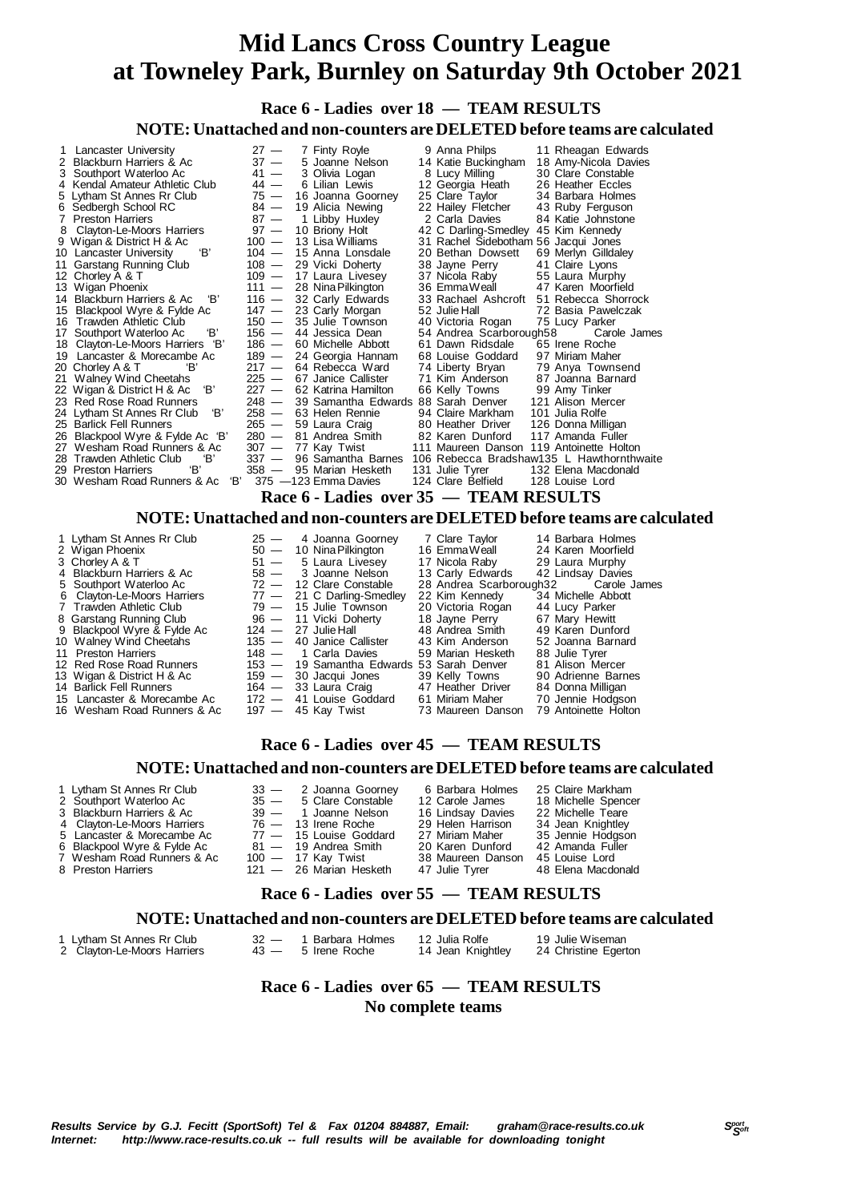**Race 6 - Ladies over 18 — TEAM RESULTS**

### **NOTE: Unattached and non-counters are DELETED before teams are calculated**

|    | 1 Lancaster University             | $27 -$  | 7 Finty Royle            | 9 Anna Philps                             | 11 Rheagan Edwards                        |
|----|------------------------------------|---------|--------------------------|-------------------------------------------|-------------------------------------------|
|    | Blackburn Harriers & Ac            | $37 -$  | 5 Joanne Nelson          | 14 Katie Buckingham                       | 18 Amy-Nicola Davies                      |
|    | 3 Southport Waterloo Ac            | $41 -$  | 3 Olivia Logan           | 8 Lucy Milling                            | 30 Clare Constable                        |
|    | 4 Kendal Amateur Athletic Club     | 44 —    | 6 Lilian Lewis           | 12 Georgia Heath                          | 26 Heather Eccles                         |
|    | 5 Lytham St Annes Rr Club          | 75 —    | 16 Joanna Goorney        | 25 Clare Taylor                           | 34 Barbara Holmes                         |
|    | 6 Sedbergh School RC               |         | 84 - 19 Alicia Newing    | 22 Hailey Fletcher                        | 43 Ruby Ferguson                          |
|    | 7 Preston Harriers                 | $87 -$  | 1 Libby Huxley           | 2 Carla Davies                            | 84 Katie Johnstone                        |
|    | Clayton-Le-Moors Harriers          | $97 -$  | 10 Briony Holt           | 42 C Darling-Smedley                      | 45 Kim Kennedy                            |
|    | 9 Wigan & District H & Ac          |         | $100 - 13$ Lisa Williams | 31 Rachel Sidebotham 56 Jacqui Jones      |                                           |
|    | 'В'<br>10 Lancaster University     |         | $104 - 15$ Anna Lonsdale | 20 Bethan Dowsett                         | 69 Merlyn Gilldaley                       |
|    | 11 Garstang Running Club           |         | 108 - 29 Vicki Doherty   | 38 Jayne Perry                            | 41 Claire Lyons                           |
|    | 12 Chorley A & T                   |         | 109 - 17 Laura Livesey   | 37 Nicola Raby                            | 55 Laura Murphy                           |
|    | 13 Wigan Phoenix                   | $111 -$ | 28 Nina Pilkington       | 36 EmmaWeall                              | 47 Karen Moorfield                        |
|    | 14 Blackburn Harriers & Ac<br>'B'  |         | $116 - 32$ Carly Edwards | 33 Rachael Ashcroft                       | 51 Rebecca Shorrock                       |
|    | 15 Blackpool Wyre & Fylde Ac       |         | $147 - 23$ Carly Morgan  | 52 Julie Hall                             | 72 Basia Pawelczak                        |
|    | 16 Trawden Athletic Club           |         | $150 - 35$ Julie Townson | 40 Victoria Rogan                         | 75 Lucy Parker                            |
|    | 17 Southport Waterloo Ac<br>'В'    |         | 156 - 44 Jessica Dean    | 54 Andrea Scarborough58                   | Carole James                              |
|    | 18 Clayton-Le-Moors Harriers 'B'   | $186 -$ | 60 Michelle Abbott       | 61 Dawn Ridsdale                          | 65 Irene Roche                            |
|    | 19 Lancaster & Morecambe Ac        | $189 -$ | 24 Georgia Hannam        | 68 Louise Goddard                         | 97 Miriam Maher                           |
|    | 'В'<br>20 Chorley A & T            |         | 217 - 64 Rebecca Ward    | 74 Liberty Bryan                          | 79 Anya Townsend                          |
|    | 21 Walney Wind Cheetahs            | $225 -$ | 67 Janice Callister      | 71 Kim Anderson                           | 87 Joanna Barnard                         |
|    | 22 Wigan & District H & Ac 'B'     | $227 -$ | 62 Katrina Hamilton      | 66 Kelly Towns                            | 99 Amy Tinker                             |
|    | 23 Red Rose Road Runners           | $248 -$ |                          | 39 Samantha Edwards 88 Sarah Denver       | 121 Alison Mercer                         |
|    | 'В'<br>24 Lytham St Annes Rr Club  | $258 -$ | 63 Helen Rennie          | 94 Claire Markham                         | 101 Julia Rolfe                           |
|    | 25 Barlick Fell Runners            |         | 265 — 59 Laura Craig     | 80 Heather Driver                         | 126 Donna Milligan                        |
|    | 26 Blackpool Wyre & Fylde Ac 'B'   | $280 -$ | 81 Andrea Smith          | 82 Karen Dunford                          | 117 Amanda Fuller                         |
| 27 | Wesham Road Runners & Ac           | $307 -$ | 77 Kay Twist             | 111 Maureen Danson                        | 119 Antoinette Holton                     |
|    | 28 Trawden Athletic Club<br>'В'    |         | 337 - 96 Samantha Barnes |                                           | 106 Rebecca Bradshaw135 L Hawthornthwaite |
|    | 'B'<br>29 Preston Harriers         |         | 358 - 95 Marian Hesketh  | 131 Julie Tyrer                           | 132 Elena Macdonald                       |
|    | "В'<br>30 Wesham Road Runners & Ac |         | 375 - 123 Emma Davies    | 124 Clare Belfield                        | 128 Louise Lord                           |
|    |                                    |         |                          | Race 6 - Ladies  over 35  —  TEAM RESULTS |                                           |

### **NOTE: Unattached and non-counters are DELETED before teams are calculated**

 1 Lytham St Annes Rr Club 25 — 4 Joanna Goorney 7 Clare Taylor 14 Barbara Holmes Lancaster & Morecambe Ac 172 — 41 Louise Go<br>Wesham Road Runners & Ac 197 — 45 Kay Twist 16 Wesham Road Runners & Ac

2 Wigan Phoenix 50 — 10 Nina Pilkington 16 Emma Weall 24 Karen Moorfiel<br>3 Chorley A & T 51 - 5 Laura Livesey 17 Nicola Raby 29 Laura Murphy<br>4 Blackburn Harriers & Ac 58 - 3 Joanne Nelson 13 Carly Edwards 42 Lindsay Davie 3 Chorley A & T 51 — 5 Laura Livesey 17 Nicola Raby 29 Laura Murphy 4 Blackburn Harriers & Ac 58 — 3 Joanne Nelson 13 Carly Edwards 42 Lindsay Davies 3 Joanne Nelson 13 Carly Edwards 42 Lindsay Davies<br>
5 Southport Waterloo Ac 72 - 12 Clare Constable 28 Andrea Scarborough32 Carole James<br>
6 Clayton-Le-Moors Harriers 77 - 21 C Darling-Smedley 22 Kim Kennedy 34 Michelle Abb 6 Clayton-Le-Moors Harriers 77 — 21 C Darling-Smedley 22 Kim Kennedy 34 Michelle Abbott 7 Trawden Athletic Club 79 — 15 Julie Townson 20 Victoria Rogan 44 Lucy Parker 8 Garstang Running Club 96 — 11 Vicki Doherty 18 Jayne Perry 67 Mary Hewitt 9 Blackpool Wyre & Fylde Ac 124 — 27 Julie Hall 48 Andrea Smith 49 Karen Dunford 10 Walney Wind Cheetahs 135 — 40 Janice Callister 43 Kim Anderson 52 Joanna Barnard 11 Preston Harriers 148 - 1 Carla Davies 59 Marian Hesketh 88 Julie Tyrer<br>12 Red Rose Road Runners 153 - 19 Samantha Edwards 53 Sarah Denver 81 Alison Mercer 153 — 19 Samantha Edwards 53 Sarah Denver 81 Alison Mercer<br>159 — 30 Jacqui Jones 39 Kelly Towns 90 Adrienne Barnes 13 Wigan & District H & Ac 159 — 30 Jacqui Jones 39 Kelly Towns 90 Adrienne Barn<br>14 Barlick Fell Runners 164 — 33 Laura Craig 17 Heather Driver 84 Donna Milligan 14 Barlick Fell Runners 164 — 33 Laura Craig 164 - 47 Heather Driver 84 Donna Milligan<br>15 Lancaster & Morecambe Ac 172 — 41 Louise Goddard 61 Miriam Maher 70 Jennie Hodgson<br>16 Wesham Road Runners & Ac 197 — 45 Kay Twist 73

### **Race 6 - Ladies over 45 — TEAM RESULTS**

### **NOTE: Unattached and non-counters are DELETED before teams are calculated**

| 1 Lytham St Annes Rr Club   | 33 - 2 Joanna Goorney    | 6 Barbara Holmes  | 25 Claire Markham   |
|-----------------------------|--------------------------|-------------------|---------------------|
| 2 Southport Waterloo Ac     | 35 - 5 Clare Constable   | 12 Carole James   | 18 Michelle Spencer |
| 3 Blackburn Harriers & Ac   | $39 - 1$ Joanne Nelson   | 16 Lindsay Davies | 22 Michelle Teare   |
| 4 Clayton-Le-Moors Harriers | $76 - 13$ Irene Roche    | 29 Helen Harrison | 34 Jean Knightley   |
| 5 Lancaster & Morecambe Ac  | $77 - 15$ Louise Goddard | 27 Miriam Maher   | 35 Jennie Hodgson   |
| 6 Blackpool Wyre & Fylde Ac | 81 - 19 Andrea Smith     | 20 Karen Dunford  | 42 Amanda Fuller    |
| 7 Wesham Road Runners & Ac  | 100 — 17 Kay Twist       | 38 Maureen Danson | 45 Louise Lord      |
| 8 Preston Harriers          | 121 - 26 Marian Hesketh  | 47 Julie Tyrer    | 48 Elena Macdonald  |
|                             |                          |                   |                     |

### **Race 6 - Ladies over 55 — TEAM RESULTS**

### **NOTE: Unattached and non-counters are DELETED before teams are calculated**

| Lytham St Annes Rr Club     | 32 — 1 Barbara Holmes | 12 Julia Rolfe    | 19 Julie Wiseman     |
|-----------------------------|-----------------------|-------------------|----------------------|
| 2 Clayton-Le-Moors Harriers | $43 - 5$ Irene Roche  | 14 Jean Knightley | 24 Christine Egerton |
|                             |                       |                   |                      |

### **Race 6 - Ladies over 65 — TEAM RESULTS No complete teams**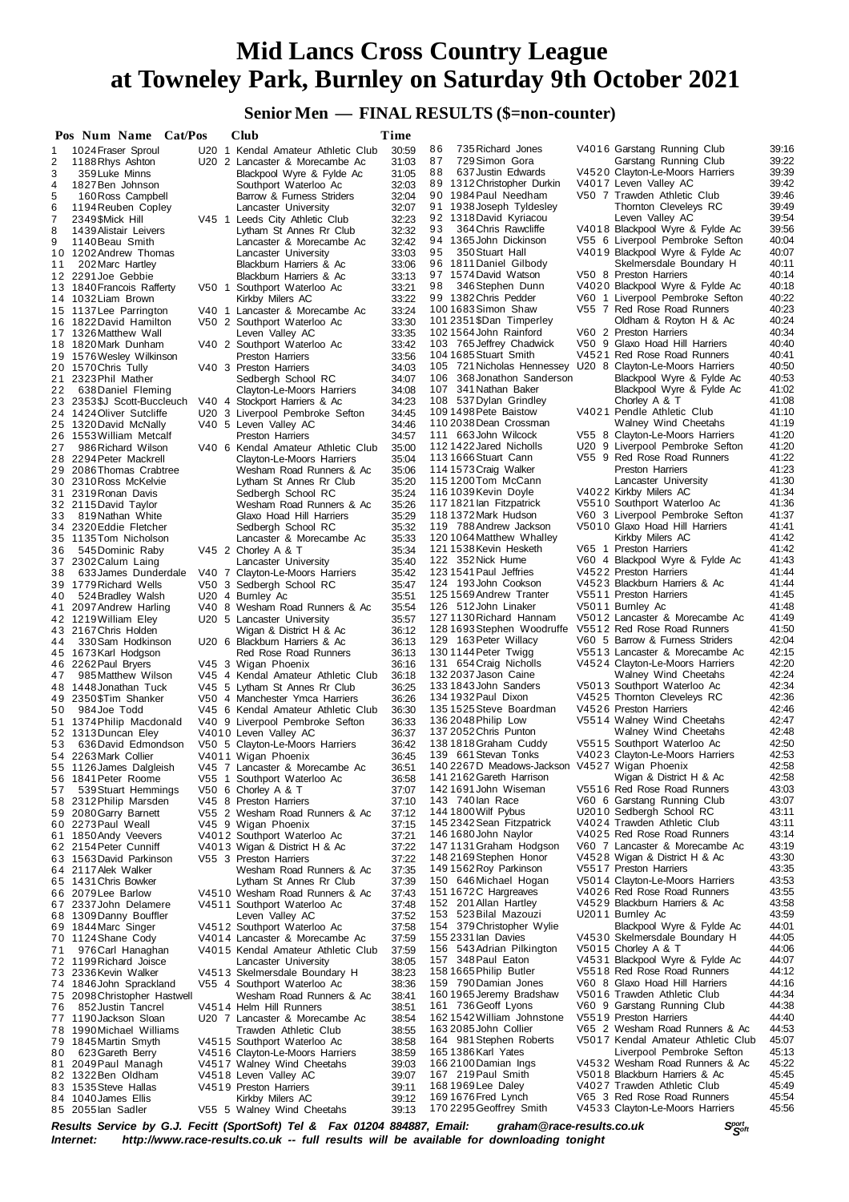### **Senior Men — FINAL RESULTS (\$=non-counter)**

|                | Pos Num Name Cat/Pos                        | Club                                                            | Time           |                                                            |                                                                 |                |
|----------------|---------------------------------------------|-----------------------------------------------------------------|----------------|------------------------------------------------------------|-----------------------------------------------------------------|----------------|
| 1              | 1024 Fraser Sproul                          | U20 1 Kendal Amateur Athletic Club                              | 30:59          | 86<br>735 Richard Jones                                    | V4016 Garstang Running Club                                     | 39:16          |
| 2              | 1188 Rhys Ashton                            | U20 2 Lancaster & Morecambe Ac                                  | 31:03          | 87<br>729 Simon Gora                                       | Garstang Running Club                                           | 39:22          |
| 3              | 359 Luke Minns                              | Blackpool Wyre & Fylde Ac                                       | 31:05          | 88<br>637 Justin Edwards                                   | V4520 Clayton-Le-Moors Harriers                                 | 39:39          |
| 4              | 1827 Ben Johnson                            | Southport Waterloo Ac                                           | 32:03          | 89 1312 Christopher Durkin                                 | V4017 Leven Valley AC                                           | 39:42          |
| 5              | 160 Ross Campbell                           | Barrow & Furness Striders                                       | 32:04          | 90 1984 Paul Needham                                       | V50 7 Trawden Athletic Club                                     | 39:46          |
| 6              | 1194 Reuben Copley                          | Lancaster University                                            | 32:07          | 91 1938 Joseph Tyldesley                                   | Thornton Cleveleys RC                                           | 39:49          |
| $\overline{7}$ | 2349 \$Mick Hill                            | V45 1 Leeds City Athletic Club                                  | 32:23          | 92 1318 David Kyriacou                                     | Leven Valley AC                                                 | 39:54          |
| 8              | 1439 Alistair Leivers                       | Lytham St Annes Rr Club                                         | 32:32          | 93<br>364 Chris Rawcliffe                                  | V4018 Blackpool Wyre & Fylde Ac                                 | 39.56          |
| 9              | 1140 Beau Smith                             | Lancaster & Morecambe Ac                                        | 32:42          | 94 1365 John Dickinson                                     | V55 6 Liverpool Pembroke Sefton                                 | 40:04          |
|                | 10 1202 Andrew Thomas                       | Lancaster University                                            | 33:03          | 95<br>350 Stuart Hall                                      | V4019 Blackpool Wyre & Fylde Ac                                 | 40:07          |
| 11             | 202 Marc Hartley                            | Blackburn Harriers & Ac                                         | 33:06          | 96 1811 Daniel Gilbody                                     | Skelmersdale Boundary H                                         | 40:11          |
|                | 12 2291 Joe Gebbie                          | Blackburn Harriers & Ac                                         | 33:13          | 97 1574 David Watson                                       | V50 8 Preston Harriers                                          | 40:14          |
|                | 13 1840 Francois Rafferty                   | V50 1 Southport Waterloo Ac                                     | 33:21          | 346 Stephen Dunn<br>98                                     | V4020 Blackpool Wyre & Fylde Ac                                 | 40:18          |
|                | 14 1032 Liam Brown                          | Kirkby Milers AC                                                | 33:22          | 99 1382 Chris Pedder                                       | V60 1 Liverpool Pembroke Sefton                                 | 40:22          |
|                | 15 1137 Lee Parrington                      | V40 1 Lancaster & Morecambe Ac                                  | 33:24          | 100 1683 Simon Shaw                                        | V55 7 Red Rose Road Runners                                     | 40:23          |
|                | 16 1822 David Hamilton                      | V50 2 Southport Waterloo Ac                                     | 33:30          | 101 2351 \$Dan Timperley                                   | Oldham & Royton H & Ac                                          | 40:24          |
|                | 17 1326 Matthew Wall                        | Leven Valley AC                                                 | 33:35          | 1021564 John Rainford                                      | V60 2 Preston Harriers                                          | 40:34          |
|                | 18 1820 Mark Dunham                         | V40 2 Southport Waterloo Ac                                     | 33:42          | 103 765 Jeffrey Chadwick                                   | V50 9 Glaxo Hoad Hill Harriers                                  | 40:40          |
|                | 19 1576 Wesley Wilkinson                    | <b>Preston Harriers</b>                                         | 33:56          | 104 1685 Stuart Smith                                      | V4521 Red Rose Road Runners                                     | 40:41          |
|                | 20 1570 Chris Tully                         | V40 3 Preston Harriers                                          | 34:03          | 105 721 Nicholas Hennessey U20 8 Clayton-Le-Moors Harriers |                                                                 | 40:50          |
|                | 21 2323 Phil Mather                         | Sedbergh School RC                                              | 34:07          | 368 Jonathon Sanderson<br>106                              | Blackpool Wyre & Fylde Ac                                       | 40:53          |
| 22             | 638 Daniel Fleming                          | Clayton-Le-Moors Harriers                                       | 34:08          | 107 341 Nathan Baker                                       | Blackpool Wyre & Fylde Ac                                       | 41:02          |
|                | 23 2353\$J Scott-Buccleuch                  | V40 4 Stockport Harriers & Ac                                   | 34:23          | 108 537 Dylan Grindley                                     | Chorley A & T                                                   | 41:08          |
|                | 24 1424 Oliver Sutcliffe                    | U20 3 Liverpool Pembroke Sefton                                 | 34:45          | 109 1498 Pete Baistow                                      | V4021 Pendle Athletic Club                                      | 41:10          |
|                | 25 1320 David McNally                       | V40 5 Leven Valley AC                                           | 34:46          | 110 2038 Dean Crossman                                     | Walney Wind Cheetahs                                            | 41:19          |
|                | 26 1553 William Metcalf                     | Preston Harriers                                                | 34:57          | 111 663 John Wilcock                                       | V55 8 Clayton-Le-Moors Harriers                                 | 41:20          |
| 27             | 986 Richard Wilson                          | V40 6 Kendal Amateur Athletic Club                              | 35:00          | 112 1422 Jared Nicholls                                    | U20 9 Liverpool Pembroke Sefton                                 | 41:20          |
|                | 28 2294 Peter Mackrell                      | Clayton-Le-Moors Harriers                                       | 35:04          | 113 1666 Stuart Cann                                       | V55 9 Red Rose Road Runners                                     | 41:22          |
|                | 29 2086 Thomas Crabtree                     | Wesham Road Runners & Ac                                        | 35:06          | 114 1573 Craig Walker                                      | <b>Preston Harriers</b>                                         | 41:23          |
|                | 30 2310 Ross McKelvie                       | Lytham St Annes Rr Club                                         | 35:20          | 115 1200 Tom McCann                                        | Lancaster University                                            | 41:30          |
|                | 31 2319 Ronan Davis                         | Sedbergh School RC                                              | 35:24          | 116 1039 Kevin Doyle                                       | V4022 Kirkby Milers AC                                          | 41:34          |
|                | 32 2115 David Taylor                        | Wesham Road Runners & Ac                                        | 35:26          | 117 1821 lan Fitzpatrick                                   | V5510 Southport Waterloo Ac                                     | 41:36          |
| 33             | 819 Nathan White                            | Glaxo Hoad Hill Harriers                                        | 35:29          | 118 1372 Mark Hudson                                       | V60 3 Liverpool Pembroke Sefton                                 | 41:37          |
|                | 34 2320 Eddie Fletcher                      | Sedbergh School RC                                              | 35:32          | 119 788 Andrew Jackson                                     | V5010 Glaxo Hoad Hill Harriers                                  | 41:41          |
|                | 35 1135 Tom Nicholson                       | Lancaster & Morecambe Ac                                        | 35:33          | 120 1064 Matthew Whalley                                   | Kirkby Milers AC                                                | 41:42          |
| 36             | 545 Dominic Raby                            | V45 2 Chorley A & T                                             | 35:34          | 121 1538 Kevin Hesketh                                     | V65 1 Preston Harriers                                          | 41:42          |
|                | 37 2302 Calum Laing                         | Lancaster University                                            | 35:40          | 122 352 Nick Hume                                          | V60 4 Blackpool Wyre & Fylde Ac                                 | 41:43          |
| 38             | 633 James Dunderdale                        | V40 7 Clayton-Le-Moors Harriers                                 | 35:42          | 123 1541 Paul Jeffries                                     | V4522 Preston Harriers                                          | 41:44          |
|                | 39 1779 Richard Wells                       | V50 3 Sedbergh School RC                                        | 35:47          | 124 193 John Cookson                                       | V4523 Blackburn Harriers & Ac                                   | 41:44          |
| 40             | 524 Bradley Walsh                           | U20 4 Burnley Ac                                                | 35:51          | 125 1569 Andrew Tranter                                    | V5511 Preston Harriers                                          | 41:45          |
|                | 41 2097 Andrew Harling                      | V40 8 Wesham Road Runners & Ac                                  | 35:54          | 126 512 John Linaker                                       | V5011 Burnley Ac                                                | 41:48          |
|                | 42 1219 William Eley                        | U20 5 Lancaster University                                      | 35:57          | 1271130 Richard Hannam                                     | V5012 Lancaster & Morecambe Ac                                  | 41.49          |
|                | 43 2167 Chris Holden                        | Wigan & District H & Ac                                         | 36:12          | 128 1693 Stephen Woodruffe                                 | V5512 Red Rose Road Runners                                     | 41:50          |
| 44             | 330 Sam Hodkinson                           | U20 6 Blackburn Harriers & Ac                                   | 36:13          | 129 163 Peter Willacy                                      | V60 5 Barrow & Furness Striders                                 | 42:04          |
|                | 45 1673 Karl Hodgson                        | Red Rose Road Runners                                           | 36:13          | 130 1144 Peter Twigg                                       | V5513 Lancaster & Morecambe Ac                                  | 42:15          |
|                | 46 2262 Paul Bryers                         | V45 3 Wigan Phoenix                                             | 36:16          | 131 654 Craig Nicholls                                     | V4524 Clayton-Le-Moors Harriers                                 | 42:20<br>42:24 |
| 47             | 985 Matthew Wilson                          | V45 4 Kendal Amateur Athletic Club                              | 36:18          | 132 2037 Jason Caine<br>1331843John Sanders                | Walney Wind Cheetahs<br>V5013 Southport Waterloo Ac             | 42:34          |
|                | 48 1448 Jonathan Tuck                       | V45 5 Lytham St Annes Rr Club<br>V50 4 Manchester Ymca Harriers | 36:25          | 134 1932 Paul Dixon                                        | V4525 Thornton Cleveleys RC                                     | 42:36          |
| 50             | 49 2350 \$Tim Shanker<br>984 Joe Todd       | V45 6 Kendal Amateur Athletic Club                              | 36:26<br>36:30 | 135 1525 Steve Boardman                                    | V4526 Preston Harriers                                          | 42:46          |
|                | 51 1374 Philip Macdonald                    | V40 9 Liverpool Pembroke Sefton                                 | 36:33          | 136 2048 Philip Low                                        | V5514 Walney Wind Cheetahs                                      | 42:47          |
|                | 52 1313 Duncan Eley                         | V4010 Leven Valley AC                                           | 36:37          | 137 2052 Chris Punton                                      | Walney Wind Cheetahs                                            | 42:48          |
| 53             | 636 David Edmondson                         | V50 5 Clayton-Le-Moors Harriers                                 | 36:42          | 138 1818 Graham Cuddy                                      | V5515 Southport Waterloo Ac                                     | 42:50          |
|                | 54 2263 Mark Collier                        | V4011 Wigan Phoenix                                             | 36:45          | 139 661 Stevan Tonks                                       | V4023 Clayton-Le-Moors Harriers                                 | 42:53          |
|                | 55 1126 James Dalgleish                     | V45 7 Lancaster & Morecambe Ac                                  | 36:51          | 140 2267D Meadows-Jackson V4527 Wigan Phoenix              |                                                                 | 42:58          |
|                | 56 1841 Peter Roome                         | V55 1 Southport Waterloo Ac                                     | 36:58          | 141 2162 Gareth Harrison                                   | Wigan & District H & Ac                                         | 42:58          |
| 57             | 539 Stuart Hemmings                         | V50 6 Chorley A & T                                             | 37:07          | 142 1691 John Wiseman                                      | V5516 Red Rose Road Runners                                     | 43:03          |
|                | 58 2312 Philip Marsden                      | V45 8 Preston Harriers                                          | 37:10          | 143 740 lan Race                                           | V60 6 Garstang Running Club                                     | 43:07          |
|                | 59 2080 Garry Barnett                       | V55 2 Wesham Road Runners & Ac                                  | 37:12          | 144 1800 Wilf Pybus                                        | U2010 Sedbergh School RC                                        | 43:11          |
|                | 60 2273 Paul Weall                          | V45 9 Wigan Phoenix                                             | 37:15          | 145 2342 Sean Fitzpatrick                                  | V4024 Trawden Athletic Club                                     | 43:11          |
|                | 61 1850 Andy Veevers                        | V4012 Southport Waterloo Ac                                     | 37:21          | 146 1680 John Naylor                                       | V4025 Red Rose Road Runners                                     | 43:14          |
|                | 62 2154 Peter Cunniff                       | V4013 Wigan & District H & Ac                                   | 37:22          | 147 1131 Graham Hodgson                                    | V60 7 Lancaster & Morecambe Ac                                  | 43:19          |
|                | 63 1563 David Parkinson                     | V55 3 Preston Harriers                                          | 37:22          | 148 2169 Stephen Honor                                     | V4528 Wigan & District H & Ac                                   | 43:30          |
|                | 64 2117 Alek Walker                         | Wesham Road Runners & Ac                                        | 37:35          | 149 1562 Roy Parkinson                                     | V5517 Preston Harriers                                          | 43:35          |
|                | 65 1431 Chris Bowker                        | Lytham St Annes Rr Club                                         | 37:39          | 150 646 Michael Hogan                                      | V5014 Clayton-Le-Moors Harriers                                 | 43:53          |
|                | 66 2079 Lee Barlow                          | V4510 Wesham Road Runners & Ac                                  | 37:43          | 151 1672C Hargreaves                                       | V4026 Red Rose Road Runners                                     | 43:55          |
|                | 67 2337 John Delamere                       | V4511 Southport Waterloo Ac                                     | 37:48          | 152 201 Allan Hartley                                      | V4529 Blackburn Harriers & Ac                                   | 43:58          |
|                | 68 1309 Danny Bouffler                      | Leven Valley AC                                                 | 37:52          | 153 523 Bilal Mazouzi                                      | U2011 Burnley Ac                                                | 43:59          |
|                | 69 1844 Marc Singer                         | V4512 Southport Waterloo Ac                                     | 37:58          | 154 379 Christopher Wylie                                  | Blackpool Wyre & Fylde Ac                                       | 44:01          |
|                | 70 1124 Shane Cody                          | V4014 Lancaster & Morecambe Ac                                  | 37:59          | 155 2331 lan Davies                                        | V4530 Skelmersdale Boundary H                                   | 44:05          |
| 71             | 976 Carl Hanaghan                           | V4015 Kendal Amateur Athletic Club                              | 37:59          | 156 543 Adrian Pilkington                                  | V5015 Chorley A & T                                             | 44:06          |
|                | 72 1199 Richard Joisce                      | Lancaster University                                            | 38:05          | 157 348 Paul Eaton                                         | V4531 Blackpool Wyre & Fylde Ac                                 | 44:07          |
|                | 73 2336 Kevin Walker                        | V4513 Skelmersdale Boundary H                                   | 38:23          | 158 1665 Philip Butler                                     | V5518 Red Rose Road Runners                                     | 44:12          |
|                | 74 1846 John Sprackland                     | V55 4 Southport Waterloo Ac                                     | 38:36          | 159 790 Damian Jones                                       | V60 8 Glaxo Hoad Hill Harriers                                  | 44:16          |
|                | 75 2098 Christopher Hastwell                | Wesham Road Runners & Ac                                        | 38:41          | 160 1965 Jeremy Bradshaw                                   | V5016 Trawden Athletic Club                                     | 44:34          |
| 76             | 852 Justin Tancrel                          | V4514 Helm Hill Runners                                         | 38:51          | 161 736 Geoff Lyons                                        | V60 9 Garstang Running Club                                     | 44:38          |
|                | 77 1190 Jackson Sloan                       | U20 7 Lancaster & Morecambe Ac                                  | 38:54          | 162 1542 William Johnstone                                 | V5519 Preston Harriers                                          | 44:40          |
| 78             | 1990 Michael Williams                       | Trawden Athletic Club                                           | 38:55          | 163 2085 John Collier                                      | V65 2 Wesham Road Runners & Ac                                  | 44:53          |
|                | 79 1845 Martin Smyth                        | V4515 Southport Waterloo Ac                                     | 38:58          | 164 981 Stephen Roberts                                    | V5017 Kendal Amateur Athletic Club                              | 45:07          |
| 80             | 623 Gareth Berry                            | V4516 Clayton-Le-Moors Harriers                                 | 38:59          | 165 1386 Karl Yates                                        | Liverpool Pembroke Sefton                                       | 45:13          |
| 81             | 2049 Paul Managh                            | V4517 Walney Wind Cheetahs                                      | 39:03          | 166 2100 Damian Ings<br>167 219 Paul Smith                 | V4532 Wesham Road Runners & Ac<br>V5018 Blackburn Harriers & Ac | 45:22<br>45:45 |
|                | 82 1322 Ben Oldham                          | V4518 Leven Valley AC                                           | 39:07          | 168 1969 Lee Daley                                         | V4027 Trawden Athletic Club                                     | 45:49          |
|                | 83 1535 Steve Hallas<br>84 1040 James Ellis | V4519 Preston Harriers<br>Kirkby Milers AC                      | 39:11<br>39:12 | 169 1676 Fred Lynch                                        | V65 3 Red Rose Road Runners                                     | 45:54          |
|                | 85 2055 lan Sadler                          | V55 5 Walney Wind Cheetahs                                      | 39:13          | 170 2295 Geoffrey Smith                                    | V4533 Clayton-Le-Moors Harriers                                 | 45:56          |
|                |                                             |                                                                 |                |                                                            |                                                                 |                |

*<sup>S</sup>port Results Service by G.J. Fecitt (SportSoft) Tel & Fax 01204 884887, Email: graham@race-results.co.uk <sup>S</sup>oft* http://www.race-results.co.uk -- full results will be available for downloading tonight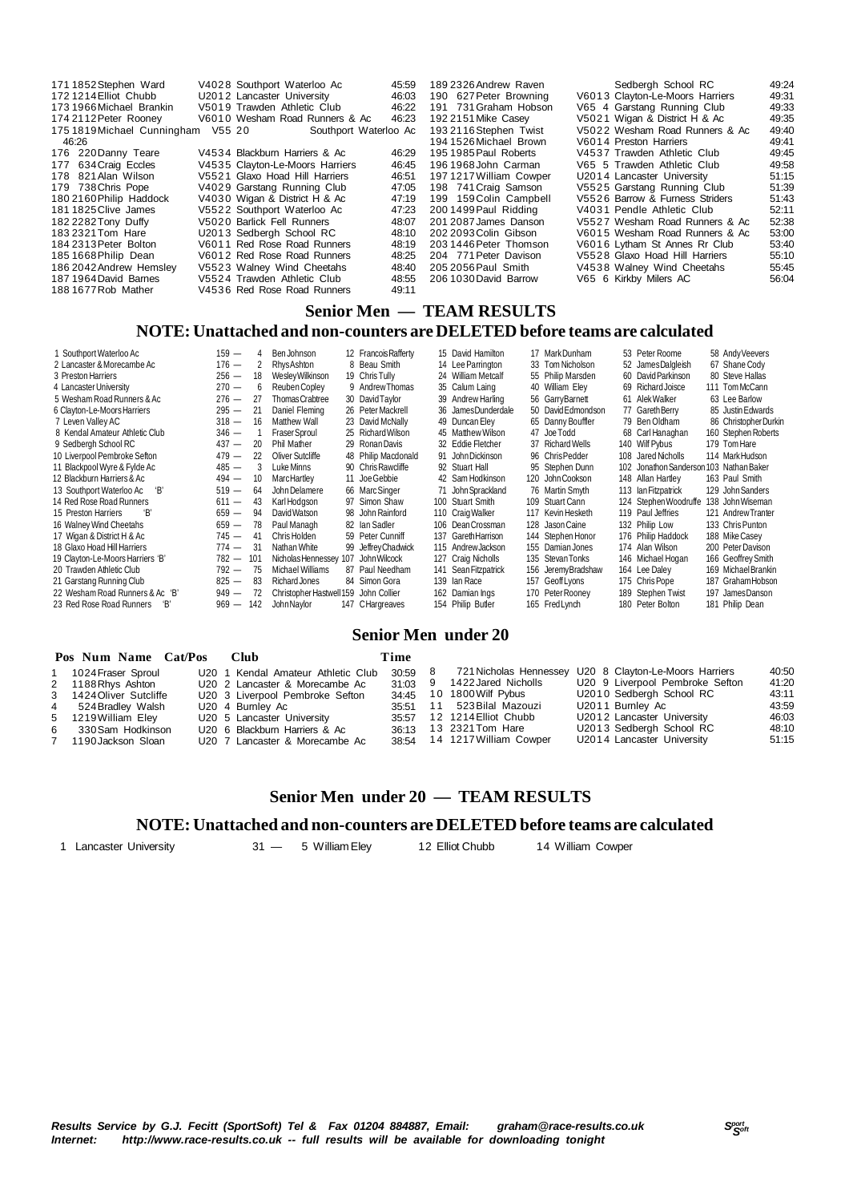| 171 1852 Stephen Ward       |        | V4028 Southport Waterloo Ac     | 45:59                 | 189 2326 Andrew Raven  | Sedbergh School RC              | 49.24 |
|-----------------------------|--------|---------------------------------|-----------------------|------------------------|---------------------------------|-------|
| 172 1214 Elliot Chubb       |        | U2012 Lancaster University      | 46:03                 | 190 627 Peter Browning | V6013 Clayton-Le-Moors Harriers | 49:31 |
| 173 1966 Michael Brankin    |        | V5019 Trawden Athletic Club     | 46:22                 | 191 731 Graham Hobson  | V65 4 Garstang Running Club     | 49:33 |
| 174 2112 Peter Rooney       |        | V6010 Wesham Road Runners & Ac  | 46:23                 | 192 2151 Mike Casev    | V5021 Wigan & District H & Ac   | 49:35 |
| 175 1819 Michael Cunningham | V55 20 |                                 | Southport Waterloo Ac | 193 2116 Stephen Twist | V5022 Wesham Road Runners & Ac  | 49:40 |
| 46:26                       |        |                                 |                       | 194 1526 Michael Brown | V6014 Preston Harriers          | 49.41 |
| 176 220 Danny Teare         |        | V4534 Blackburn Harriers & Ac   | 46:29                 | 195 1985 Paul Roberts  | V4537 Trawden Athletic Club     | 49.45 |
| 177 634 Craig Eccles        |        | V4535 Clayton-Le-Moors Harriers | 46:45                 | 196 1968 John Carman   | V65 5 Trawden Athletic Club     | 49.58 |
| 178 821 Alan Wilson         |        | V5521 Glaxo Hoad Hill Harriers  | 46:51                 | 1971217 William Cowper | U2014 Lancaster University      | 51:15 |
| 179 738 Chris Pope          |        | V4029 Garstang Running Club     | 47:05                 | 198 741 Craig Samson   | V5525 Garstang Running Club     | 51:39 |
| 180 2160 Philip Haddock     |        | V4030 Wigan & District H & Ac   | 47:19                 | 199 159 Colin Campbell | V5526 Barrow & Furness Striders | 51:43 |
| 1811825 Clive James         |        | V5522 Southport Waterloo Ac     | 47:23                 | 2001499 Paul Ridding   | V4031 Pendle Athletic Club      | 52:11 |
| 182 2282 Tony Duffy         |        | V5020 Barlick Fell Runners      | 48:07                 | 201 2087 James Danson  | V5527 Wesham Road Runners & Ac  | 52:38 |
| 183 2321 Tom Hare           |        | U2013 Sedbergh School RC        | 48:10                 | 202 2093 Colin Gibson  | V6015 Wesham Road Runners & Ac  | 53:00 |
| 184 2313 Peter Bolton       |        | V6011 Red Rose Road Runners     | 48:19                 | 203 1446 Peter Thomson | V6016 Lytham St Annes Rr Club   | 53:40 |
| 185 1668 Philip Dean        |        | V6012 Red Rose Road Runners     | 48:25                 | 204 771 Peter Davison  | V5528 Glaxo Hoad Hill Harriers  | 55:10 |
| 186 2042 Andrew Hemsley     |        | V5523 Walney Wind Cheetahs      | 48:40                 | 205 2056 Paul Smith    | V4538 Walney Wind Cheetahs      | 55:45 |
| 187 1964 David Barnes       |        | V5524 Trawden Athletic Club     | 48:55                 | 206 1030 David Barrow  | V65 6 Kirkby Milers AC          | 56:04 |
| 188 1677 Rob Mather         |        | V4536 Red Rose Road Runners     | 49:11                 |                        |                                 |       |

### **Senior Men — TEAM RESULTS**

### **NOTE: Unattached and non-counters are DELETED before teams are calculated**

| Southport Waterloo Ac            | $159 -$ | 4   | Ben Johnson                           |     | 12 Francois Rafferty |     | 15 David Hamilton    | 17 MarkDunham      | 53 Peter Roome         | 58 Andy Veevers       |
|----------------------------------|---------|-----|---------------------------------------|-----|----------------------|-----|----------------------|--------------------|------------------------|-----------------------|
| 2 Lancaster & Morecambe Ac       | $176 -$ | 2   | RhysAshton                            |     | 8 Beau Smith         |     | 14 Lee Parrington    | 33 Tom Nicholson   | 52 JamesDalgleish      | 67 Shane Cody         |
| 3 Preston Harriers               | $256 -$ | 18  | Wesley Wilkinson                      |     | 19 Chris Tully       |     | 24 William Metcalf   | 55 Philip Marsden  | 60 David Parkinson     | 80 Steve Hallas       |
| 4 Lancaster University           | $270 -$ | 6   | Reuben Copley                         |     | 9 Andrew Thomas      |     | 35 Calum Laing       | 40 William Elev    | 69 Richard Joisce      | 111 Tom McCann        |
| 5 Wesham Road Runners & Ac       | $276 -$ | 27  | Thomas Crabtree                       |     | 30 David Taylor      |     | 39 Andrew Harling    | 56 GarryBarnett    | 61 Alek Walker         | 63 Lee Barlow         |
| 6 Clayton-Le-Moors Harriers      | $295 -$ | 21  | Daniel Fleming                        |     | 26 Peter Mackrell    |     | 36 JamesDunderdale   | 50 David Edmondson | 77 Gareth Berry        | 85 Justin Edwards     |
| 7 Leven Valley AC                | $318 -$ | 16  | Matthew Wall                          |     | 23 David McNally     |     | 49 Duncan Eley       | 65 Danny Bouffler  | 79 Ben Oldham          | 86 Christopher Durkin |
| 8 Kendal Amateur Athletic Club   | $346 -$ |     | <b>Fraser Sproul</b>                  |     | 25 Richard Wilson    |     | 45 Matthew Wilson    | 47 Joe Todd        | 68 Carl Hanaghan       | 160 Stephen Roberts   |
| 9 Sedbergh School RC             | $437 -$ | 20  | Phil Mather                           |     | 29 Ronan Davis       |     | 32 Eddie Fletcher    | 37 Richard Wells   | 140 Wilf Pybus         | 179 Tom Hare          |
| 10 Liverpool Pembroke Sefton     | $479 -$ | 22  | Oliver Sutcliffe                      |     | 48 Philip Macdonald  |     | 91 John Dickinson    | 96 ChrisPedder     | 108 Jared Nicholls     | 114 MarkHudson        |
| 11 Blackpool Wyre & Fylde Ac     | $485 -$ | 3   | Luke Minns                            |     | 90 Chris Rawcliffe   |     | 92 Stuart Hall       | 95 Stephen Dunn    | 102 Jonathon Sanderson | 103 Nathan Baker      |
| 12 Blackburn Harriers & Ac       | $494 -$ | 10  | MarcHartlev                           |     | 11 Joe Gebbie        |     | 42 Sam Hodkinson     | 120 John Cookson   | 148 Allan Hartley      | 163 Paul Smith        |
| 13 Southport Waterloo Ac<br>'B'  | $519 -$ | 64  | John Delamere                         |     | 66 Marc Singer       |     | 71 John Sprackland   | 76 Martin Smyth    | 113 Ian Fitzpatrick    | 129 John Sanders      |
| 14 Red Rose Road Runners         | $611 -$ | 43  | Karl Hodgson                          |     | 97 Simon Shaw        |     | 100 Stuart Smith     | 109 Stuart Cann    | 124 Stephen Woodruffe  | 138 John Wiseman      |
| 15 Preston Harriers<br>'В'       | $659 -$ | 94  | David Watson                          |     | 98 John Rainford     |     | 110 Craig Walker     | 117 Kevin Hesketh  | 119 Paul Jeffries      | 121 Andrew Tranter    |
| 16 Walney Wind Cheetahs          | $659 -$ | 78  | Paul Managh                           |     | 82 Ian Sadler        |     | 106 Dean Crossman    | 128 Jason Caine    | 132 Philip Low         | 133 Chris Punton      |
| 17 Wigan & District H & Ac       | $745 -$ | 41  | Chris Holden                          |     | 59 Peter Cunniff     |     | 137 Gareth Harrison  | 144 Stephen Honor  | 176 Philip Haddock     | 188 Mike Casev        |
| 18 Glaxo Hoad Hill Harriers      | $774 -$ | 31  | Nathan White                          |     | 99 Jeffrey Chadwick  |     | 115 Andrew Jackson   | 155 Damian Jones   | 174 Alan Wilson        | 200 Peter Davison     |
| 19 Clayton-Le-Moors Harriers 'B' | $782 -$ | 101 | Nicholas Hennessey                    | 107 | John Wilcock         |     | 127 Craig Nicholls   | 135 Stevan Tonks   | 146 Michael Hogan      | 166 Geoffrey Smith    |
| 20 Trawden Athletic Club         | $792 -$ | 75  | Michael Williams                      |     | 87 Paul Needham      |     | 141 Sean Fitzpatrick | 156 JeremyBradshaw | 164 Lee Daley          | 169 Michael Brankin   |
| 21 Garstang Running Club         | $825 -$ | 83  | Richard Jones                         |     | 84 Simon Gora        | 139 | lan Race             | 157 Geoff Lyons    | 175 Chris Pope         | 187 Graham Hobson     |
| 22 Wesham Road Runners & Ac 'B'  | $949 -$ | 72  | Christopher Hastwell 159 John Collier |     |                      |     | 162 Damian Ings      | 170 Peter Rooney   | 189 Stephen Twist      | 197 JamesDanson       |
| 23 Red Rose Road Runners<br>'В'  | $969 -$ | 142 | John Naylor                           |     | 147 CHargreaves      |     | 154 Philip Butler    | 165 Fred Lynch     | 180 Peter Bolton       | 181 Philip Dean       |

### **Senior Men under 20**

| Pos Num Name Cat/Pos    | - Club                             | Time    |                              |                                                        |       |
|-------------------------|------------------------------------|---------|------------------------------|--------------------------------------------------------|-------|
| 1 1024 Fraser Sproul    | U20 1 Kendal Amateur Athletic Club | 30:59 8 |                              | 721 Nicholas Hennessey U20 8 Clayton-Le-Moors Harriers | 40:50 |
| 2 1188 Rhys Ashton      | U20 2 Lancaster & Morecambe Ac     |         | 31:03 9 1422 Jared Nicholls  | U20 9 Liverpool Pembroke Sefton                        | 41:20 |
| 3 1424 Oliver Sutcliffe | U20 3 Liverpool Pembroke Sefton    | 34:45   | 10 1800 Wilf Pybus           | U2010 Sedbergh School RC                               | 43:11 |
| 4 524 Bradley Walsh     | U20 4 Burnley Ac                   |         | 35:51 11 523 Bilal Mazouzi   | U2011 Burnley Ac                                       | 43:59 |
| 5 1219 William Eley     | U20 5 Lancaster University         |         | 35:57 12 1214 Elliot Chubb   | U2012 Lancaster University                             | 46:03 |
| 6 330 Sam Hodkinson     | U20 6 Blackburn Harriers & Ac      |         | 36:13 13 2321 Tom Hare       | U2013 Sedbergh School RC                               | 48:10 |
| 7 1190 Jackson Sloan    | U20 7 Lancaster & Morecambe Ac     |         | 38:54 14 1217 William Cowper | U2014 Lancaster University                             | 51:15 |

### **Senior Men under 20 — TEAM RESULTS**

### **NOTE: Unattached and non-counters are DELETED before teams are calculated**

1 Lancaster University **31** - 5 William Eley 12 Elliot Chubb 14 William Cowper